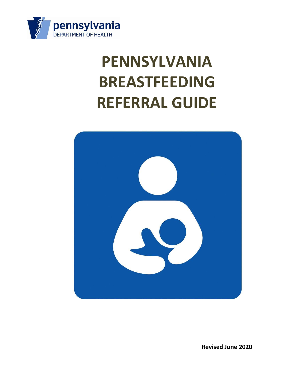

# **PENNSYLVANIA BREASTFEEDING REFERRAL GUIDE**



**Revised June 2020**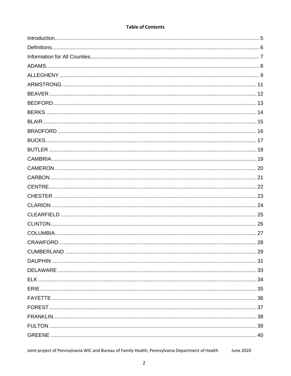| <b>Table of Contents</b> |  |
|--------------------------|--|
|--------------------------|--|

Joint project of Pennsylvania WIC and Bureau of Family Health, Pennsylvania Department of Health **June 2020**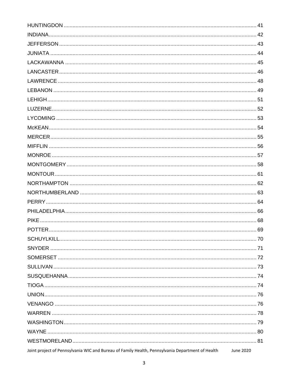| Joint project of Pennsylvania WIC and Bureau of Family Health, Pennsylvania Department of Health | June 2020 |
|--------------------------------------------------------------------------------------------------|-----------|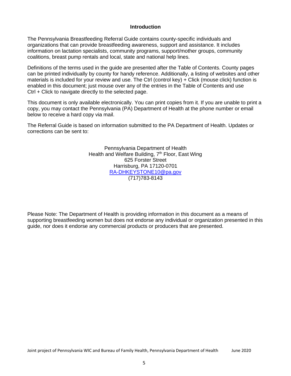#### **Introduction**

<span id="page-4-0"></span>The Pennsylvania Breastfeeding Referral Guide contains county-specific individuals and organizations that can provide breastfeeding awareness, support and assistance. It includes information on lactation specialists, community programs, support/mother groups, community coalitions, breast pump rentals and local, state and national help lines.

Definitions of the terms used in the guide are presented after the Table of Contents. County pages can be printed individually by county for handy reference. Additionally, a listing of websites and other materials is included for your review and use. The Ctrl (control key) + Click (mouse click) function is enabled in this document; just mouse over any of the entries in the Table of Contents and use Ctrl + Click to navigate directly to the selected page.

This document is only available electronically. You can print copies from it. If you are unable to print a copy, you may contact the Pennsylvania (PA) Department of Health at the phone number or email below to receive a hard copy via mail.

The Referral Guide is based on information submitted to the PA Department of Health. Updates or corrections can be sent to:

> Pennsylvania Department of Health Health and Welfare Building, 7<sup>th</sup> Floor, East Wing 625 Forster Street Harrisburg, PA 17120-0701 [RA-DHKEYSTONE10@pa.gov](mailto:RA-DHKEYSTONE10@pa.gov) (717)783-8143

Please Note: The Department of Health is providing information in this document as a means of supporting breastfeeding women but does not endorse any individual or organization presented in this guide, nor does it endorse any commercial products or producers that are presented.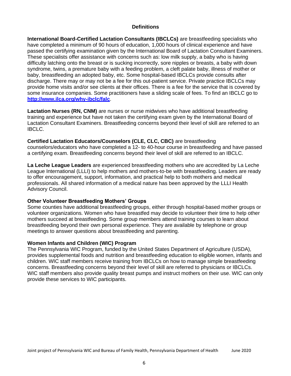# **Definitions**

<span id="page-5-0"></span>**International Board-Certified Lactation Consultants (IBCLCs)** are breastfeeding specialists who have completed a minimum of 90 hours of education, 1,000 hours of clinical experience and have passed the certifying examination given by the International Board of Lactation Consultant Examiners. These specialists offer assistance with concerns such as: low milk supply, a baby who is having difficulty latching onto the breast or is sucking incorrectly, sore nipples or breasts, a baby with down syndrome, twins, a premature baby with a feeding problem, a cleft palate baby, illness of mother or baby, breastfeeding an adopted baby, etc. Some hospital-based IBCLCs provide consults after discharge. There may or may not be a fee for this out-patient service. Private practice IBCLCs may provide home visits and/or see clients at their offices. There is a fee for the service that is covered by some insurance companies. Some practitioners have a sliding scale of fees. To find an IBCLC go to **<http://www.ilca.org/why-ibclc/falc>**.

**Lactation Nurses (RN, CNM)** are nurses or nurse midwives who have additional breastfeeding training and experience but have not taken the certifying exam given by the International Board of Lactation Consultant Examiners. Breastfeeding concerns beyond their level of skill are referred to an IBCLC.

**Certified Lactation Educators/Counselors (CLE, CLC, CBC)** are breastfeeding counselors/educators who have completed a 12- to 40-hour course in breastfeeding and have passed a certifying exam. Breastfeeding concerns beyond their level of skill are referred to an IBCLC.

**La Leche League Leaders** are experienced breastfeeding mothers who are accredited by La Leche League International (LLLI) to help mothers and mothers-to-be with breastfeeding. Leaders are ready to offer encouragement, support, information, and practical help to both mothers and medical professionals. All shared information of a medical nature has been approved by the LLLI Health Advisory Council.

# **Other Volunteer Breastfeeding Mothers' Groups**

Some counties have additional breastfeeding groups, either through hospital-based mother groups or volunteer organizations. Women who have breastfed may decide to volunteer their time to help other mothers succeed at breastfeeding. Some group members attend training courses to learn about breastfeeding beyond their own personal experience. They are available by telephone or group meetings to answer questions about breastfeeding and parenting.

#### **Women Infants and Children (WIC) Program**

The Pennsylvania WIC Program, funded by the United States Department of Agriculture (USDA), provides supplemental foods and nutrition and breastfeeding education to eligible women, infants and children. WIC staff members receive training from IBCLCs on how to manage simple breastfeeding concerns. Breastfeeding concerns beyond their level of skill are referred to physicians or IBCLCs. WIC staff members also provide quality breast pumps and instruct mothers on their use. WIC can only provide these services to WIC participants.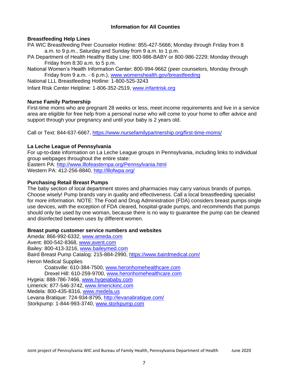# **Information for All Counties**

# <span id="page-6-0"></span>**Breastfeeding Help Lines**

PA WIC Breastfeeding Peer Counselor Hotline: 855-427-5666; Monday through Friday from 8 a.m. to 9 p.m., Saturday and Sunday from 9 a.m. to 1 p.m.

PA Department of Health Healthy Baby Line: 800-986-BABY or 800-986-2229; Monday through Friday from 8:30 a.m. to 5 p.m.

National Women's Health Information Center: 800-994-9662 (peer counselors, Monday through Friday from 9 a.m. - 6 p.m.), [www.womenshealth.gov/breastfeeding](http://www.womenshealth.gov/breastfeeding)

National LLL Breastfeeding Hotline: 1-800-525-3243

Infant Risk Center Helpline: 1-806-352-2519, [www.infantrisk.org](http://www.infantrisk.org/)

#### **Nurse Family Partnership**

First-time moms who are pregnant 28 weeks or less, meet income requirements and live in a service area are eligible for free help from a personal nurse who will come to your home to offer advice and support through your pregnancy and until your baby is 2 years old.

Call or Text: 844-637-6667, https:/[/www.nursefamilypartnership.org/first-time-moms/](http://www.nursefamilypartnership.org/first-time-moms/)

# **La Leche League of Pennsylvania**

For up-to-date information on La Leche League groups in Pennsylvania, including links to individual group webpages throughout the entire state:

Eastern PA:<http://www.lllofeasternpa.org/Pennsylvania.html> Western PA: 412-256-8840, <http://lllofwpa.org/>

# **Purchasing Retail Breast Pumps**

The baby section of local department stores and pharmacies may carry various brands of pumps. Choose wisely! Pump brands vary in quality and effectiveness. Call a local breastfeeding specialist for more information. NOTE: The Food and Drug Administration (FDA) considers breast pumps single use devices, with the exception of FDA cleared, hospital-grade pumps, and recommends that pumps should only be used by one woman, because there is no way to guarantee the pump can be cleaned and disinfected between uses by different women.

#### **Breast pump customer service numbers and websites**

Ameda: 866-992-6332, [www.ameda.com](http://www.ameda.com/) Avent: 800-542-8368, [www.avent.com](http://www.avent.com/) Bailey: 800-413-3216, [www.baileymed.com](http://www.baileymed.com/) Baird Breast Pump Catalog: 215-884-2990, https:/[/www.bairdmedical.com/](http://www.bairdmedical.com/) Heron Medical Supplies Coatsville: 610-384-7500, [www.heronhomehealthcare.com](http://www.heronhomehealthcare.com/) Drexel Hill: 610-259-9700, [www.heronhomehealthcare.com](http://www.heronhomehealthcare.com/) Hygeia: 888-786-7466, [www.hygeiababy.com](http://www.hygeiababy.com/) Limerick: 877-546-3742, [www.limerickinc.com](http://www.limerickinc.com/) Medela: 800-435-8316, [www.medela.us](http://www.medela.us/) Levana Bratique: 724-934-8795,<http://levanabratique.com/> Storkpump: 1-844-993-3740, [www.storkpump.com](http://www.storkpump.com/)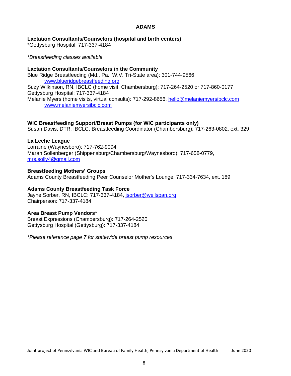# **ADAMS**

# <span id="page-7-0"></span>**Lactation Consultants/Counselors (hospital and birth centers)**

\*Gettysburg Hospital: 717-337-4184

## *\*Breastfeeding classes available*

#### **Lactation Consultants/Counselors in the Community** Blue Ridge Breastfeeding (Md., Pa., W.V. Tri-State area): 301-744-9566 [www.blueridgebreastfeeding.org](http://www.blueridgebreastfeeding.org/) Suzy Wilkinson, RN, IBCLC (home visit, Chambersburg): 717-264-2520 or 717-860-0177 Gettysburg Hospital: 717-337-4184 Melanie Myers (home visits, virtual consults): 717-292-8656, [hello@melaniemyersibclc.com](mailto:hello@melaniemyersibclc.com) [www.melaniemyersibclc.com](http://www.melaniemyersibclc.com/)

# **WIC Breastfeeding Support/Breast Pumps (for WIC participants only)**

Susan Davis, DTR, IBCLC, Breastfeeding Coordinator (Chambersburg): 717-263-0802, ext. 329

# **La Leche League**

Lorraine (Waynesboro): 717-762-9094 Marah Sollenberger (Shippensburg/Chambersburg/Waynesboro): 717-658-0779, [mrs.solly4@gmail.com](mailto:mrs.solly4@gmail.com)

**Breastfeeding Mothers' Groups** Adams County Breastfeeding Peer Counselor Mother's Lounge: 717-334-7634, ext. 189

# **Adams County Breastfeeding Task Force**

Jayne Sorber, RN, IBCLC: 717-337-4184, [jsorber@wellspan.org](mailto:jsorber@wellspan.org) Chairperson: 717-337-4184

# **Area Breast Pump Vendors\***

Breast Expressions (Chambersburg): 717-264-2520 Gettysburg Hospital (Gettysburg): 717-337-4184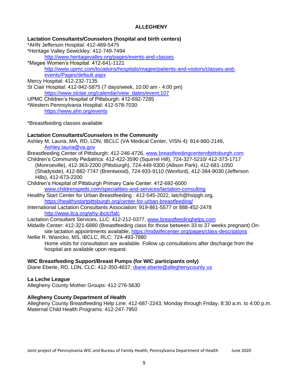# **ALLEGHENY**

<span id="page-8-0"></span>**Lactation Consultants/Counselors (hospital and birth centers)** \*AHN Jefferson Hospital: 412-469-5475

\*Heritage Valley Sewickley: 412-749-7494

<http://www.heritagevalley.org/pages/events-and-classes>

\*Magee Women's Hospital: 412-641-1121 [http://www.upmc.com/locations/hospitals/magee/patients-and-visitors/classes-and](http://www.upmc.com/locations/hospitals/magee/patients-and-visitors/classes-and-)events/Pages/default.aspx

Mercy Hospital: 412-232-7135

St Clair Hospital: 412-942-5875 (7 days/week, 10:00 am - 4:00 pm) [https://www.stclair.org/calendar/view\\_dates/event:107](https://www.stclair.org/calendar/view_dates/event:107)

UPMC Children's Hospital of Pittsburgh: 412-692-7285 \*Western Pennsylvania Hospital: 412-578-7030

https:/[/www.ahn.org/events](http://www.ahn.org/events)

\*Breastfeeding classes available

# **Lactation Consultants/Counselors in the Community**

Ashley M. Lauria, MA, RD, LDN, IBCLC (VA Medical Center, VISN 4): 814-860-2146, [Ashley.lauria@va.gov](mailto:Ashley.lauria@va.gov)

Breastfeeding Center of Pittsburgh: 412-246-4726, [www.breastfeedingcenterofpittsburgh.com](http://www.breastfeedingcenterofpittsburgh.com/)

- Children's Community Pediatrics: 412-422-3590 (Squirrel Hill), 724-327-5210/ 412-373-1717 (Monroeville), 412-363-2200 (Pittsburgh), 724-449-9300 (Allison Park), 412-681-1050 (Shadyside), 412-882-7747 (Brentwood), 724-933-9110 (Wexford), 412-384-9030 (Jefferson Hills), 412-673-2200
- Children's Hospital of Pittsburgh Primary Care Center: 412-692-6000 [www.childrenspeds.com/specialities-and-services/lactation-consulting](http://www.childrenspeds.com/specialities-and-services/lactation-consulting)
- Healthy Start Center for Urban Breastfeeding : 412-545-2022, latch@hsipgh.org, <https://healthystartpittsburgh.org/center-for-urban-breastfeeding/>
- International Lactation Consultants Association: 919-861-5577 or 888-452-2478 <http://www.ilca.org/why-ibclc/falc>

Lactation Consultant Services, LLC: 412-212-0377, [www.breastfeedinghelps.com](http://www.breastfeedinghelps.com/)

Midwife Center: 412-321-6880 (Breastfeeding class for those between 33 to 37 weeks pregnant) Onsite lactation appointments available; https://midwifecenter.org/pages/class-descriptions

Nellie R. Wiancko, MS, IBCLC, RLC: 724-493-7880 Home visits for consultation are available. Follow up consultations after discharge from the hospital are available upon request.

# **WIC Breastfeeding Support/Breast Pumps (for WIC participants only)**

Diane Eberle, RD, LDN, CLC: 412-350-4637; [diane.eberle@alleghenycounty.us](mailto:diane.eberle@alleghenycounty.us)

# **La Leche League**

Allegheny County Mother Groups: 412-276-5630

# **Allegheny County Department of Health**

Allegheny County Breastfeeding Help Line: 412-687-2243; Monday through Friday, 8:30 a.m. to 4:00 p.m. Maternal Child Health Programs: 412-247-7950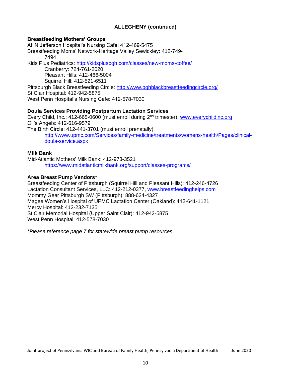# **ALLEGHENY (continued)**

# **Breastfeeding Mothers' Groups**

AHN Jefferson Hospital's Nursing Cafe: 412-469-5475 Breastfeeding Moms' Network-Heritage Valley Sewickley: 412-749- 7494 Kids Plus Pediatrics:<http://kidspluspgh.com/classes/new-moms-coffee/> Cranberry: 724-761-2020 Pleasant Hills: 412-466-5004 Squirrel Hill: 412-521-6511 Pittsburgh Black Breastfeeding Circle:<http://www.pghblackbreastfeedingcircle.org/> St Clair Hospital: 412-942-5875 West Penn Hospital's Nursing Cafe: 412-578-7030

# **Doula Services Providing Postpartum Lactation Services**

Every Child, Inc.: 412-665-0600 (must enroll during 2nd trimester), [www.everychildinc.org](http://www.everychildinc.org/) Oli's Angels: 412-616-9579 The Birth Circle: 412-441-3701 (must enroll prenatally) [http://www.upmc.com/Services/family-medicine/treatments/womens-health/Pages/clinical](http://www.upmc.com/Services/family-medicine/treatments/womens-health/Pages/clinical-)doula-service.aspx

# **Milk Bank**

Mid-Atlantic Mothers' Milk Bank: 412-973-3521 https:/[/www.midatlanticmilkbank.org/support/classes-programs/](http://www.midatlanticmilkbank.org/support/classes-programs/)

# **Area Breast Pump Vendors\***

Breastfeeding Center of Pittsburgh (Squirrel Hill and Pleasant Hills): 412-246-4726 Lactation Consultant Services, LLC: 412-212-0377, [www.breastfeedinghelps.com](http://www.breastfeedinghelps.com/) Mommy Gear Pittsburgh SW (Pittsburgh): 888-624-4327 Magee Women's Hospital of UPMC Lactation Center (Oakland): 412-641-1121 Mercy Hospital: 412-232-7135 St Clair Memorial Hospital (Upper Saint Clair): 412-942-5875 West Penn Hospital: 412-578-7030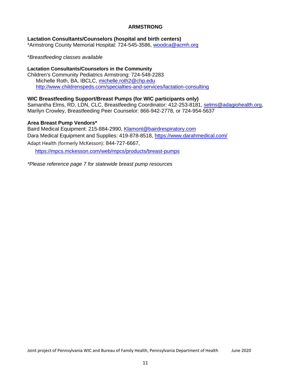# **ARMSTRONG**

# <span id="page-10-0"></span>**Lactation Consultants/Counselors (hospital and birth centers)**

\*Armstrong County Memorial Hospital: 724-545-3586, [woodca@acmh.org](mailto:woodca@acmh.org)

\**Breastfeeding classes available*

# **Lactation Consultants/Counselors in the Community**

Children's Community Pediatrics Armstrong: 724-548-2283 Michelle Roth, BA, IBCLC, [michelle.roth2@chp.edu](mailto:michelle.roth2@chp.edu) <http://www.childrenspeds.com/specialties-and-services/lactation-consulting>

# **WIC Breastfeeding Support/Breast Pumps (for WIC participants only)**

Samantha Elms, RD, LDN, CLC, Breastfeeding Coordinator: 412-253-8181, [selms@adagiohealth.org,](mailto:selms@adagiohealth.org) Marilyn Crowley, Breastfeeding Peer Counselor: 866-942-2778, or 724-954-5637

# **Area Breast Pump Vendors\***

Baird Medical Equipment: 215-884-2990, [Klamont@bairdrespiratory.com](mailto:Klamont@bairdrespiratory.com) Dara Medical Equipment and Supplies: 419-878-8518, https:/[/www.darahmedical.com/](http://www.darahmedical.com/) Adapt Health (formerly McKesson): 844-727-6667,

<https://mpcs.mckesson.com/web/mpcs/products/breast-pumps>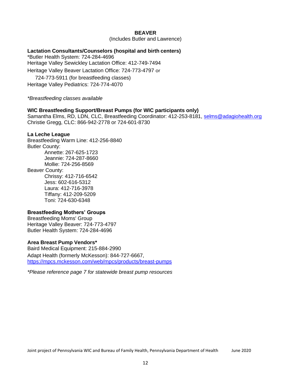# **BEAVER**

(Includes Butler and Lawrence)

# <span id="page-11-0"></span>**Lactation Consultants/Counselors (hospital and birth centers)**

\*Butler Health System: 724-284-4696 Heritage Valley Sewickley Lactation Office: 412-749-7494 Heritage Valley Beaver Lactation Office: 724-773-4797 or 724-773-5911 (for breastfeeding classes) Heritage Valley Pediatrics: 724-774-4070

*\*Breastfeeding classes available*

#### **WIC Breastfeeding Support/Breast Pumps (for WIC participants only)**

Samantha Elms, RD, LDN, CLC, Breastfeeding Coordinator: 412-253-8181, [selms@adagiohealth.org](mailto:selms@adagiohealth.org) Christie Gregg, CLC: 866-942-2778 or 724-601-8730

#### **La Leche League**

Breastfeeding Warm Line: 412-256-8840 Butler County: Annette: 267-625-1723 Jeannie: 724-287-8660 Mollie: 724-256-8569 Beaver County: Chrissy: 412-716-6542 Jess: 602-616-5312 Laura: 412-716-3978 Tiffany: 412-209-5209 Toni: 724-630-6348

#### **Breastfeeding Mothers' Groups**

Breastfeeding Moms' Group Heritage Valley Beaver: 724-773-4797 Butler Health System: 724-284-4696

#### **Area Breast Pump Vendors\***

Baird Medical Equipment: 215-884-2990 Adapt Health (formerly McKesson): 844-727-6667, <https://mpcs.mckesson.com/web/mpcs/products/breast-pumps>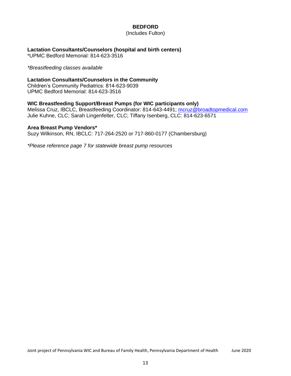# **BEDFORD**

(Includes Fulton)

# <span id="page-12-0"></span>**Lactation Consultants/Counselors (hospital and birth centers)**

\*UPMC Bedford Memorial: 814-623-3516

*\*Breastfeeding classes available*

# **Lactation Consultants/Counselors in the Community**

Children's Community Pediatrics: 814-623-9039 UPMC Bedford Memorial: 814-623-3516

# **WIC Breastfeeding Support/Breast Pumps (for WIC participants only)**

Melissa Cruz, IBCLC, Breastfeeding Coordinator: 814-643-4491; [mcruz@broadtopmedical.com](mailto:mcruz@broadtopmedical.com) Julie Kuhne, CLC; Sarah Lingenfelter, CLC; Tiffany Isenberg, CLC: 814-623-6571

#### **Area Breast Pump Vendors\***

Suzy Wilkinson, RN, IBCLC: 717-264-2520 or 717-860-0177 (Chambersburg)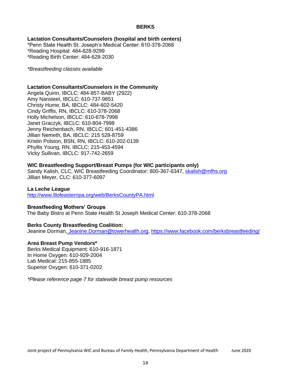# **BERKS**

<span id="page-13-0"></span>**Lactation Consultants/Counselors (hospital and birth centers)** \*Penn State Health St. Joseph's Medical Center: 610-378-2068

\*Reading Hospital: 484-628-9299 \*Reading Birth Center: 484-628-2030

*\*Breastfeeding classes available*

#### **Lactation Consultants/Counselors in the Community**

Angela Quinn, IBCLC: 484-857-BABY (2922) Amy Nansteel, IBCLC: 610-737-9851 Christy Hume, BA, IBCLC: 484-602-5420 Cindy Griffis, RN, IBCLC: 610-378-2068 Holly Michelson, IBCLC: 610-678-7998 Janet Graczyk, IBCLC: 610-804-7998 Jenny Reichenbach, RN, IBCLC: 601-451-4386 Jillian Nemeth, BA, IBCLC: 215 528-8759 Kristin Polston, BSN, RN, IBCLC: 610-202-0139 Phyllis Young, RN, IBCLC: 215-453-4594 Vicky Sullivan, IBCLC: 917-742-2659

#### **WIC Breastfeeding Support/Breast Pumps (for WIC participants only)**

Sandy Kalish, CLC, WIC Breastfeeding Coordinator: 800-367-6347, [skalish@mfhs.org](mailto:skalish@mfhs.org) Jillian Meyer, CLC: 610-377-6097

#### **La Leche League**

<http://www.lllofeasternpa.org/web/BerksCountyPA.html>

#### **Breastfeeding Mothers' Groups**

The Baby Bistro at Penn State Health St Joseph Medical Center: 610-378-2068

#### **Berks County Breastfeeding Coalition:**

Jeanine Dorman, [Jeanine.Dorman@towerhealth.org,](mailto:Jeanine.Dorman@towerhealth.org) https:/[/www.facebook.com/berksbreastfeeding/](http://www.facebook.com/berksbreastfeeding/)

#### **Area Breast Pump Vendors\***

Berks Medical Equipment: 610-916-1871 In Home Oxygen: 610-929-2004 Lab Medical: 215-855-1885 Superior Oxygen: 610-371-0202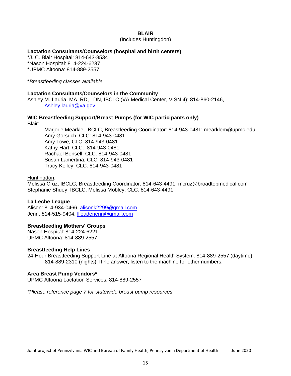#### **BLAIR**

(Includes Huntingdon)

# <span id="page-14-0"></span>**Lactation Consultants/Counselors (hospital and birth centers)**

\*J. C. Blair Hospital: 814-643-8534 \*Nason Hospital: 814-224-6237 \*UPMC Altoona: 814-889-2557

\**Breastfeeding classes available*

# **Lactation Consultants/Counselors in the Community**

Ashley M. Lauria, MA, RD, LDN, IBCLC (VA Medical Center, VISN 4): 814-860-2146, [Ashley.lauria@va.gov](mailto:Ashley.lauria@va.gov)

# **WIC Breastfeeding Support/Breast Pumps (for WIC participants only)**

Blair:

Marjorie Mearkle, IBCLC, Breastfeeding Coordinator: 814-943-0481; mearklem@upmc.edu Amy Gorsuch, CLC: 814-943-0481 Amy Lowe, CLC: 814-943-0481 Kathy Hart, CLC: 814-943-0481 Rachael Bonsell, CLC: 814-943-0481 Susan Lamertina, CLC: 814-943-0481 Tracy Kelley, CLC: 814-943-0481

#### Huntingdon:

Melissa Cruz, IBCLC, Breastfeeding Coordinator: 814-643-4491; mcruz@broadtopmedical.com Stephanie Shuey, IBCLC; Melissa Mobley, CLC: 814-643-4491

# **La Leche League**

Alison: 814-934-0466, [alisonk2299@gmail.com](mailto:alisonk2299@gmail.com) Jenn: 814-515-9404, [llleaderjenn@gmail.com](mailto:llleaderjenn@gmail.com)

# **Breastfeeding Mothers' Groups**

Nason Hospital: 814-224-6221 UPMC Altoona: 814-889-2557

#### **Breastfeeding Help Lines**

24-Hour Breastfeeding Support Line at Altoona Regional Health System: 814-889-2557 (daytime), 814-889-2310 (nights). If no answer, listen to the machine for other numbers.

# **Area Breast Pump Vendors\***

UPMC Altoona Lactation Services: 814-889-2557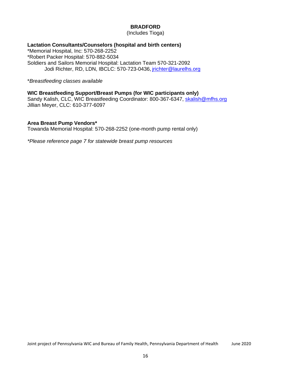# **BRADFORD**

(Includes Tioga)

# <span id="page-15-0"></span>**Lactation Consultants/Counselors (hospital and birth centers)**

\*Memorial Hospital, Inc: 570-268-2252 \*Robert Packer Hospital: 570-882-5034 Soldiers and Sailors Memorial Hospital: Lactation Team 570-321-2092 Jodi Richter, RD, LDN, IBCLC: 570-723-0436, [jrichter@laurelhs.org](mailto:jrichter@laurelhs.org)

\**Breastfeeding classes available*

# **WIC Breastfeeding Support/Breast Pumps (for WIC participants only)**

Sandy Kalish, CLC, WIC Breastfeeding Coordinator: 800-367-6347, [skalish@mfhs.org](mailto:skalish@mfhs.org) Jillian Meyer, CLC: 610-377-6097

# **Area Breast Pump Vendors\***

Towanda Memorial Hospital: 570-268-2252 (one-month pump rental only)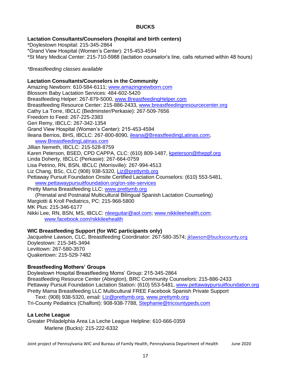# **BUCKS**

# <span id="page-16-0"></span>**Lactation Consultants/Counselors (hospital and birth centers)**

\*Doylestown Hospital: 215-345-2864 \*Grand View Hospital (Women's Center): 215-453-4594 \*St Mary Medical Center: 215-710-5988 (lactation counselor's line, calls returned within 48 hours)

*\*Breastfeeding classes available*

# **Lactation Consultants/Counselors in the Community**

Amazing Newborn: 610-584-6111; [www.amazingnewborn.com](http://www.amazingnewborn.com/) Blossom Baby Lactation Services: 484-602-5420 Breastfeeding Helper: 267-879-5000, [www.BreastfeedingHelper.com](http://www.breastfeedinghelper.com/) Breastfeeding Resource Center: 215-886-2433, [www.breastfeedingresourcecenter.org](http://www.breastfeedingresourcecenter.org/) Cathy La Torre, IBCLC (Bedminster/Perkasie): 267-509-7656 Freedom to Feed: 267-225-2383 Geri Remy, IBCLC: 267-342-1354 Grand View Hospital (Women's Center): 215-453-4594 Ileana Berrios, BHS, IBCLC: 267-800-8090, [ileana@BreastfeedingLatinas.com,](mailto:ileana@BreastfeedingLatinas.com) [www.BreastfeedingLatinas.com](http://www.breastfeedinglatinas.com/) Jillian Nemeth, IBCLC: 215-528-8759 Karen Peterson, BSED, CPD CAPPA, CLC: (610) 809-1487, [kpeterson@theppf.org](mailto:kpeterson@theppf.org) Linda Doherty, IBCLC (Perkasie): 267-664-0759 Lisa Petrino, RN, BSN, IBCLC (Morrisville): 267-994-4513 Liz Chang, BSc, CLC (908) 938-5320, [Liz@prettymb.org](mailto:Liz@prettymb.org) Pettaway Pursuit Foundation Onsite Certified Lactation Counselors: (610) 553-5481, [www.pettawaypursuitfoundation.org/on-site-services](http://www.pettawaypursuitfoundation.org/on-site-services) Pretty Mama Breastfeeding LLC: [www.prettymb.org](http://www.prettymb.org/) (Prenatal and Postnatal Multicultural Bilingual Spanish Lactation Counseling) Margiotti & Kroll Pediatrics, PC: 215-968-5800 MK Plus: 215-346-6177 Nikki Lee, RN, BSN, MS, IBCLC: nleeguitar@aol.com; www.nikkileehealth.com;

[www.facebook.com/nikkileehealth](http://www.facebook.com/nikkileehealth)

# **WIC Breastfeeding Support (for WIC participants only)**

Jacqueline Lawson, CLC, Breastfeeding Coordinator: 267-580-3574; [jklawson@buckscounty.org](mailto:jklawson@buckscounty.org) Doylestown: 215-345-3494 Levittown: 267-580-3570 Quakertown: 215-529-7482

# **Breastfeeding Mothers' Groups**

Doylestown Hospital Breastfeeding Moms' Group: 215-345-2864 Breastfeeding Resource Center (Abington), BRC Community Counselors: 215-886-2433 Pettaway Pursuit Foundation Lactation Station: (610) 553-5481, [www.pettawaypursuitfoundation.org](http://www.pettawaypursuitfoundation.org/) Pretty Mama Breastfeeding LLC Multicultural FREE Facebook Spanish Private Support Text: (908) 938-5320, email: [Liz@prettymb.org,](mailto:Liz@prettymb.org) [www.prettymb.org](http://www.prettymb.org/)

Tri-County Pediatrics (Chalfont): 908-938-7788, [Stephanie@tricountypeds.com](mailto:Stephanie@tricountypeds.com)

# **La Leche League**

Greater Philadelphia Area La Leche League Helpline: 610-666-0359 Marlene (Bucks): 215-222-6332

Joint project of Pennsylvania WIC and Bureau of Family Health, Pennsylvania Department of Health June 2020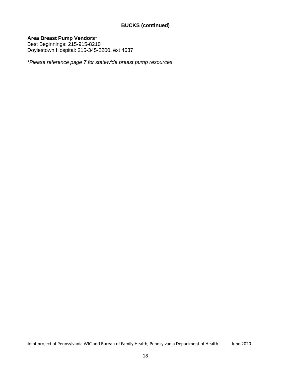# **BUCKS (continued)**

**Area Breast Pump Vendors\***

Best Beginnings: 215-915-8210 Doylestown Hospital: 215-345-2200, ext 4637

*\*Please reference page 7 for statewide breast pump resources*

Joint project of Pennsylvania WIC and Bureau of Family Health, Pennsylvania Department of Health June 2020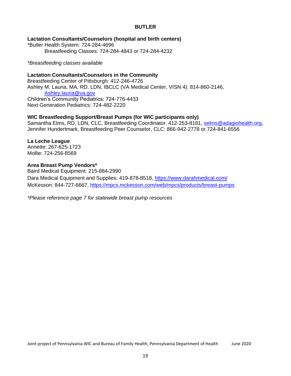# **BUTLER**

<span id="page-18-0"></span>**Lactation Consultants/Counselors (hospital and birth centers)**

\*Butler Health System: 724-284-4696 Breastfeeding Classes: 724-284-4843 or 724-284-4232

#### *\*Breastfeeding classes available*

# **Lactation Consultants/Counselors in the Community**

Breastfeeding Center of Pittsburgh: 412-246-4726 Ashley M. Lauria, MA, RD, LDN, IBCLC (VA Medical Center, VISN 4): 814-860-2146, [Ashley.lauria@va.gov](mailto:Ashley.lauria@va.gov) Children's Community Pediatrics: 724-776-4433 Next Generation Pediatrics: 724-482-2220

# **WIC Breastfeeding Support/Breast Pumps (for WIC participants only)**

Samantha Elms, RD, LDN, CLC, Breastfeeding Coordinator: 412-253-8181, [selms@adagiohealth.org,](mailto:selms@adagiohealth.org) Jennifer Hundertmark, Breastfeeding Peer Counselor, CLC: 866-942-2778 or 724-841-6556

# **La Leche League**

Annette: 267-625-1723 Mollie: 724-256-8569

#### **Area Breast Pump Vendors\***

Baird Medical Equipment: 215-884-2990 Dara Medical Equipment and Supplies: 419-878-8518, https:/[/www.darahmedical.com/](http://www.darahmedical.com/) McKesson: 844-727-6667,<https://mpcs.mckesson.com/web/mpcs/products/breast-pumps>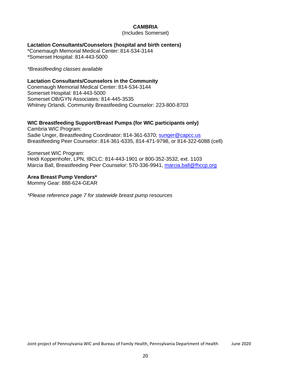## **CAMBRIA**

(Includes Somerset)

#### <span id="page-19-0"></span>**Lactation Consultants/Counselors (hospital and birth centers)**

\*Conemaugh Memorial Medical Center: 814-534-3144 \*Somerset Hospital: 814-443-5000

*\*Breastfeeding classes available*

# **Lactation Consultants/Counselors in the Community**

Conemaugh Memorial Medical Center: 814-534-3144 Somerset Hospital: 814-443-5000 Somerset OB/GYN Associates: 814-445-3535 Whitney Orlandi, Community Breastfeeding Counselor: 223-800-8703

# **WIC Breastfeeding Support/Breast Pumps (for WIC participants only)**

Cambria WIC Program: Sadie Unger, Breastfeeding Coordinator: 814-361-6370; [sunger@capcc.us](mailto:sunger@capcc.us) Breastfeeding Peer Counselor: 814-361-6335, 814-471-9798, or 814-322-6088 (cell)

Somerset WIC Program: Heidi Koppenhofer, LPN, IBCLC: 814-443-1901 or 800-352-3532, ext. 1103 Marcia Ball, Breastfeeding Peer Counselor: 570-336-9941, [marcia.ball@fhccp.org](mailto:marcia.ball@fhccp.org)

# **Area Breast Pump Vendors\***

Mommy Gear: 888-624-GEAR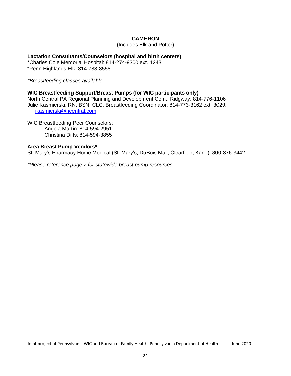# **CAMERON**

(Includes Elk and Potter)

# <span id="page-20-0"></span>**Lactation Consultants/Counselors (hospital and birth centers)**

\*Charles Cole Memorial Hospital: 814-274-9300 ext. 1243 \*Penn Highlands Elk: 814-788-8558

*\*Breastfeeding classes available*

#### **WIC Breastfeeding Support/Breast Pumps (for WIC participants only)**

North Central PA Regional Planning and Development Com., Ridgway: 814-776-1106 Julie Kasmierski, RN, BSN, CLC, Breastfeeding Coordinator: 814-773-3162 ext. 3029; [jkasmierski@ncentral.com](mailto:jkasmierski@ncentral.com)

WIC Breastfeeding Peer Counselors: Angela Martin: 814-594-2951 Christina Dilts: 814-594-3855

# **Area Breast Pump Vendors\***

St. Mary's Pharmacy Home Medical (St. Mary's, DuBois Mall, Clearfield, Kane): 800-876-3442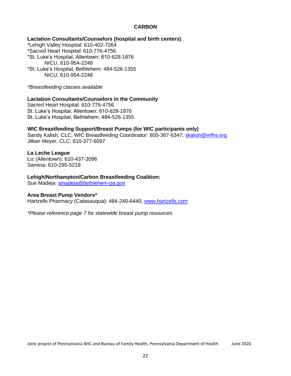# **CARBON**

#### <span id="page-21-0"></span>**Lactation Consultants/Counselors (hospital and birth centers)**

\*Lehigh Valley Hospital: 610-402-7264 \*Sacred Heart Hospital: 610-776-4756 \*St. Luke's Hospital, Allentown: 610-628-1876 NICU, 610-954-2248 \*St. Luke's Hospital, Bethlehem: 484-526-1355 NICU, 610-954-2248

*\*Breastfeeding classes available*

#### **Lactation Consultants/Counselors in the Community**

Sacred Heart Hospital: 610-776-4756 St. Luke's Hospital, Allentown: 610-628-1876 St. Luke's Hospital, Bethlehem: 484-526-1355

#### **WIC Breastfeeding Support/Breast Pumps (for WIC participants only)**

Sandy Kalish, CLC, WIC Breastfeeding Coordinator: 800-367-6347, [skalish@mfhs.org](mailto:skalish@mfhs.org) Jillian Meyer, CLC: 610-377-6097

#### **La Leche League**

Liz (Allentown): 610-437-3096 Samina: 610-295-5218

#### **Lehigh/Northampton/Carbon Breastfeeding Coalition:**

Sue Madeja: [smadeja@bethlehem-pa.gov](mailto:smadeja@bethlehem-pa.gov)

#### **Area Breast Pump Vendors\***

Hartzells Pharmacy (Catasauqua): 484-240-6440, [www.hartzells.com](http://www.hartzells.com/)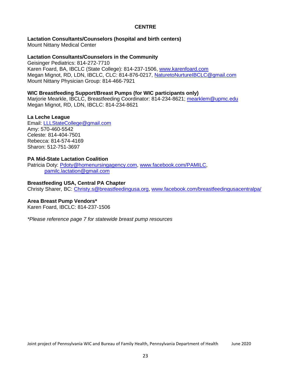# **CENTRE**

# <span id="page-22-0"></span>**Lactation Consultants/Counselors (hospital and birth centers)**

Mount Nittany Medical Center

## **Lactation Consultants/Counselors in the Community**

Geisinger Pediatrics: 814-272-7710 Karen Foard, BA, IBCLC (State College): 814-237-1506, [www.karenfoard.com](http://www.karenfoard.com/) Megan Mignot, RD, LDN, IBCLC, CLC: 814-876-0217, [NaturetoNurtureIBCLC@gmail.com](mailto:NaturetoNurtureIBCLC@gmail.com) Mount Nittany Physician Group: 814-466-7921

# **WIC Breastfeeding Support/Breast Pumps (for WIC participants only)**

Marjorie Mearkle, IBCLC, Breastfeeding Coordinator: 814-234-8621; [mearklem@upmc.edu](mailto:mearklem@upmc.edu) Megan Mignot, RD, LDN, IBCLC: 814-234-8621

# **La Leche League**

Email: [LLLStateCollege@gmail.com](mailto:LLLStateCollege@gmail.com) Amy: 570-460-5542 Celeste: 814-404-7501 Rebecca: 814-574-4169 Sharon: 512-751-3697

# **PA Mid-State Lactation Coalition**

Patricia Doty: [Pdoty@homenursingagency.com,](mailto:Pdoty@homenursingagency.com) [www.facebook.com/PAMILC,](http://www.facebook.com/PAMILC) [pamilc.lactation@gmail.com](mailto:pamilc.lactation@gmail.com)

# **Breastfeeding USA, Central PA Chapter**

Christy Sharer, BC: [Christy.s@breastfeedingusa.org,](mailto:Christy.s@breastfeedingusa.org) [www.facebook.com/breastfeedingusacentralpa/](http://www.facebook.com/breastfeedingusacentralpa/)

#### **Area Breast Pump Vendors\***

Karen Foard, IBCLC: 814-237-1506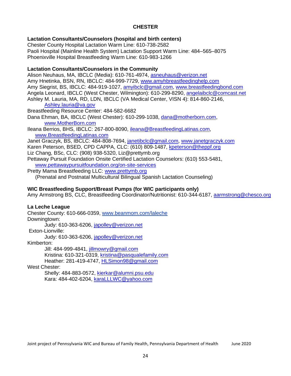# **CHESTER**

# <span id="page-23-0"></span>**Lactation Consultants/Counselors (hospital and birth centers)**

Chester County Hospital Lactation Warm Line: 610-738-2582 Paoli Hospital (Mainline Health System) Lactation Support Warm Line: 484–565–8075 Phoenixville Hospital Breastfeeding Warm Line: 610-983-1266

# **Lactation Consultants/Counselors in the Community**

Alison Neuhaus, MA, IBCLC (Media): 610-761-4974, [asneuhaus@verizon.net](mailto:asneuhaus@verizon.net) Amy Hnetinka, BSN, RN, IBCLC: 484-999-7729, [www.amyhbreastfeedinghelp.com](http://www.amyhbreastfeedinghelp.com/) Amy Siegrist, BS, IBCLC: 484-919-1027, [amyibclc@gmail.com,](mailto:amyibclc@gmail.com) [www.breastfeedingbond.com](http://www.breastfeedingbond.com/) Angela Leonard, IBCLC (West Chester, Wilmington): 610-299-8290, [angelaibclc@comcast.net](mailto:angelaibclc@comcast.net) Ashley M. Lauria, MA, RD, LDN, IBCLC (VA Medical Center, VISN 4): 814-860-2146, [Ashley.lauria@va.gov](mailto:Ashley.lauria@va.gov)

Breastfeeding Resource Center: 484-582-6682

Dana Ehman, BA, IBCLC (West Chester): 610-299-1038, [dana@motherborn.com,](mailto:dana@motherborn.com) [www.MotherBorn.com](http://www.motherborn.com/)

Ileana Berrios, BHS, IBCLC: 267-800-8090, [ileana@BreastfeedingLatinas.com,](mailto:ileana@BreastfeedingLatinas.com) [www.BreastfeedingLatinas.com](http://www.breastfeedinglatinas.com/)

Janet Graczyk, BS, IBCLC: 484-808-7694, [janetibclc@gmail.com,](mailto:janetibclc@gmail.com) [www.janetgraczyk.com](http://www.janetgraczyk.com/) Karen Peterson, BSED, CPD CAPPA, CLC: (610) 809-1487, [kpeterson@theppf.org](mailto:kpeterson@theppf.org)

Liz Chang, BSc, CLC: (908) 938-5320, Liz@prettymb.org

Pettaway Pursuit Foundation Onsite Certified Lactation Counselors: (610) 553-5481, [www.pettawaypursuitfoundation.org/on-site-services](http://www.pettawaypursuitfoundation.org/on-site-services)

Pretty Mama Breastfeeding LLC: [www.prettymb.org](http://www.prettymb.org/) (Prenatal and Postnatal Multicultural Bilingual Spanish Lactation Counseling)

# **WIC Breastfeeding Support/Breast Pumps (for WIC participants only)**

Amy Armstrong BS, CLC, Breastfeeding Coordinator/Nutritionist: 610-344-6187, [aarmstrong@chesco.org](mailto:aarmstrong@chesco.org)

# **La Leche League**

Chester County: 610-666-0359, [www.beanmom.com/laleche](http://www.beanmom.com/laleche) Downingtown: Judy: 610-363-6206, [japolley@verizon.net](mailto:japolley@verizon.net) Exton-Lionville: Judy: 610-363-6206, [japolley@verizon.net](mailto:japolley@verizon.net) Kimberton: Jill: 484-999-4841, [jillmowry@gmail.com](mailto:jillmowry@gmail.com) Kristina: 610-321-0319, [kristina@pasqualefamily.com](mailto:kristina@pasqualefamily.com) Heather: 281-419-4747, [HLSimon98@gmail.com](mailto:HLSimon98@gmail.com) West Chester:

> Shelly: 484-883-0572, [kierkar@alumni.psu.edu](mailto:kierkar@alumni.psu.edu) Kara: 484-402-6204, [karaLLLWC@yahoo.com](mailto:karaLLLWC@yahoo.com)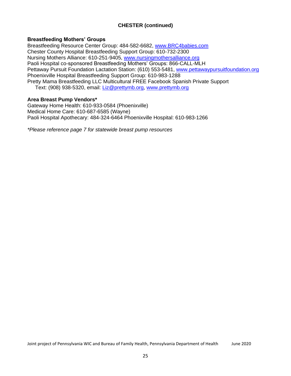# **CHESTER (continued)**

# **Breastfeeding Mothers' Groups**

Breastfeeding Resource Center Group: 484-582-6682, [www.BRC4babies.com](http://www.brc4babies.com/) Chester County Hospital Breastfeeding Support Group: 610-732-2300 Nursing Mothers Alliance: 610-251-9405, [www.nursingmothersalliance.org](http://www.nursingmothersalliance.org/) Paoli Hospital co-sponsored Breastfeeding Mothers' Groups: 866-CALL-MLH Pettaway Pursuit Foundation Lactation Station: (610) 553-5481, [www.pettawaypursuitfoundation.org](http://www.pettawaypursuitfoundation.org/) Phoenixville Hospital Breastfeeding Support Group: 610-983-1288 Pretty Mama Breastfeeding LLC Multicultural FREE Facebook Spanish Private Support Text: (908) 938-5320, email: [Liz@prettymb.org,](mailto:Liz@prettymb.org) [www.prettymb.org](http://www.prettymb.org/)

# **Area Breast Pump Vendors\***

Gateway Home Health: 610-933-0584 (Phoenixville) Medical Home Care: 610-687-6585 (Wayne) Paoli Hospital Apothecary: 484-324-6464 Phoenixville Hospital: 610-983-1266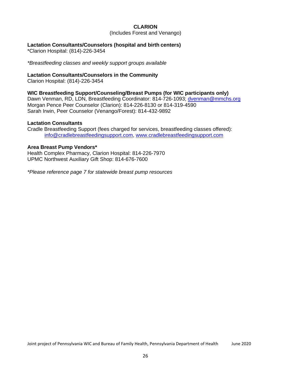# **CLARION**

(Includes Forest and Venango)

# <span id="page-25-0"></span>**Lactation Consultants/Counselors (hospital and birth centers)**

\*Clarion Hospital: (814)-226-3454

*\*Breastfeeding classes and weekly support groups available*

# **Lactation Consultants/Counselors in the Community**

Clarion Hospital: (814)-226-3454

# **WIC Breastfeeding Support/Counseling/Breast Pumps (for WIC participants only)**

Dawn Venman, RD, LDN, Breastfeeding Coordinator: 814-726-1093; [dvenman@mmchs.org](mailto:dvenman@mmchs.org) Morgan Pence Peer Counselor (Clarion): 814-226-8130 or 814-319-4590 Sarah Irwin, Peer Counselor (Venango/Forest): 814-432-9892

#### **Lactation Consultants**

Cradle Breastfeeding Support (fees charged for services, breastfeeding classes offered): [info@cradlebreastfeedingsupport.com,](mailto:info@cradlebreastfeedingsupport.com) [www.cradlebreastfeedingsupport.com](http://www.cradlebreastfeedingsupport.com/)

#### **Area Breast Pump Vendors\***

Health Complex Pharmacy, Clarion Hospital: 814-226-7970 UPMC Northwest Auxiliary Gift Shop: 814-676-7600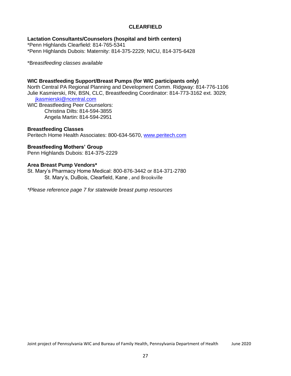# **CLEARFIELD**

# <span id="page-26-0"></span>**Lactation Consultants/Counselors (hospital and birth centers)**

\*Penn Highlands Clearfield: 814-765-5341 \*Penn Highlands Dubois: Maternity: 814-375-2229; NICU, 814-375-6428

\*B*reastfeeding classes available*

# **WIC Breastfeeding Support/Breast Pumps (for WIC participants only)**

North Central PA Regional Planning and Development Comm. Ridgway: 814-776-1106 Julie Kasmierski, RN, BSN, CLC, Breastfeeding Coordinator: 814-773-3162 ext. 3029; [jkasmierski@ncentral.com](mailto:jkasmierski@ncentral.com)

WIC Breastfeeding Peer Counselors: Christina Dilts: 814-594-3855 Angela Martin: 814-594-2951

#### **Breastfeeding Classes**

Peritech Home Health Associates: 800-634-5670, [www.peritech.com](http://www.peritech.com/)

# **Breastfeeding Mothers' Group**

Penn Highlands Dubois: 814-375-2229

#### **Area Breast Pump Vendors\***

St. Mary's Pharmacy Home Medical: 800-876-3442 or 814-371-2780 St. Mary's, DuBois, Clearfield, Kane , and Brookville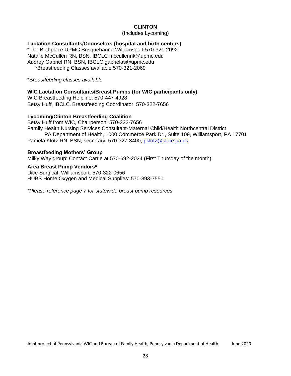# **CLINTON**

(Includes Lycoming)

## <span id="page-27-0"></span>**Lactation Consultants/Counselors (hospital and birth centers)**

\*The Birthplace UPMC Susquehanna Williamsport 570-321-2092 Natalie McCullen RN, BSN, IBCLC mccullennk@upmc.edu Audrey Gabriel RN, BSN, IBCLC gabrielas@upmc.edu \*Breastfeeding Classes available 570-321-2069

\*B*reastfeeding classes available*

#### **WIC Lactation Consultants/Breast Pumps (for WIC participants only)**

WIC Breastfeeding Helpline: 570-447-4928 Betsy Huff, IBCLC, Breastfeeding Coordinator: 570-322-7656

# **Lycoming/Clinton Breastfeeding Coalition**

Betsy Huff from WIC, Chairperson: 570-322-7656 Family Health Nursing Services Consultant-Maternal Child/Health Northcentral District PA Department of Health, 1000 Commerce Park Dr., Suite 109, Williamsport, PA 17701 Pamela Klotz RN, BSN, secretary: 570-327-3400, [pklotz@state.pa.us](mailto:pklotz@state.pa.us)

#### **Breastfeeding Mothers' Group**

Milky Way group: Contact Carrie at 570-692-2024 (First Thursday of the month)

#### **Area Breast Pump Vendors\***

Dice Surgical, Williamsport: 570-322-0656 HUBS Home Oxygen and Medical Supplies: 570-893-7550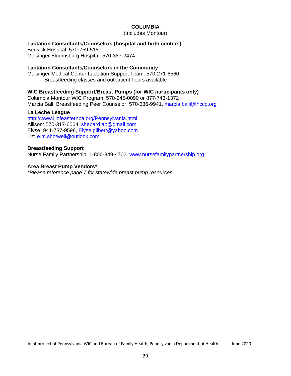# **COLUMBIA**

(Includes Montour)

## <span id="page-28-0"></span>**Lactation Consultants/Counselors (hospital and birth centers)**

Berwick Hospital: 570-759-5180 Geisinger Bloomsburg Hospital: 570-387-2474

# **Lactation Consultants/Counselors in the Community**

Geisinger Medical Center Lactation Support Team: 570-271-6560 Breastfeeding classes and outpatient hours available

# **WIC Breastfeeding Support/Breast Pumps (for WIC participants only)**

Columbia Montour WIC Program: 570-245-0090 or 877-743-1372 Marcia Ball, Breastfeeding Peer Counselor: 570-336-9941, marcia.ball@fhccp.org

# **La Leche League**

<http://www.lllofeasternpa.org/Pennsylvania.html> Allison: 570-317-6064, [shepard.ab@gmail.com](mailto:shepard.ab@gmail.com) Elyse: 941-737-9598, [Elyse.gilbert@yahoo.com](mailto:Elyse.gilbert@yahoo.com) Liz: [e.m.shotwell@outlook.com](mailto:e.m.shotwell@outlook.com)

#### **Breastfeeding Support**

Nurse Family Partnership: 1-800-349-4702, [www.nursefamilypartnership.org](http://www.nursefamilypartnership.org/)

#### **Area Breast Pump Vendors\***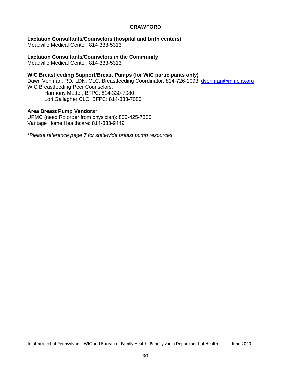# **CRAWFORD**

#### <span id="page-29-0"></span>**Lactation Consultants/Counselors (hospital and birth centers)**

Meadville Medical Center: 814-333-5313

**Lactation Consultants/Counselors in the Community**

Meadville Medical Center: 814-333-5313

## **WIC Breastfeeding Support/Breast Pumps (for WIC participants only)**

Dawn Venman, RD, LDN, CLC, Breastfeeding Coordinator: 814-726-1093; [dvenman@mmchs.org](mailto:dvenman@mmchs.org) WIC Breastfeeding Peer Counselors: Harmony Motter, BFPC: 814-330-7080 Lori Gallagher,CLC, BFPC: 814-333-7080

#### **Area Breast Pump Vendors\***

UPMC (need Rx order from physician): 800-425-7800 Vantage Home Healthcare: 814-333-9449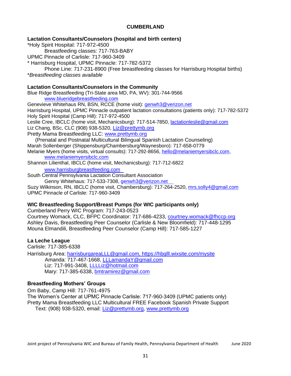# **CUMBERLAND**

<span id="page-30-0"></span>**Lactation Consultants/Counselors (hospital and birth centers)**

\*Holy Spirit Hospital: 717-972-4500 Breastfeeding classes: 717-763-BABY UPMC Pinnacle of Carlisle: 717-960-3409 \* Harrisburg Hospital, UPMC Pinnacle: 717-782-5372 Phone Line: 717-231-8900 (Free breastfeeding classes for Harrisburg Hospital births) \**Breastfeeding classes available*

# **Lactation Consultants/Counselors in the Community**

Blue Ridge Breastfeeding (Tri-State area MD, PA, WV): 301-744-9566 [www.blueridgebreastfeeding.com](http://www.blueridgebreastfeeding.com/)

Genevieve Whitehaus RN, BSN, RCCE (home visit): [genwh3@verizon.net](mailto:genwh3@verizon.net) Harrisburg Hospital, UPMC Pinnacle outpatient lactation consultations (patients only): 717-782-5372 Holy Spirit Hospital (Camp Hill): 717-972-4500 Leslie Cree, IBCLC (home visit, Mechanicsburg): 717-514-7850, [lactationleslie@gmail.com](mailto:lactationleslie@gmail.com) Liz Chang, BSc, CLC (908) 938-5320, [Liz@prettymb.org](mailto:Liz@prettymb.org)

Pretty Mama Breastfeeding LLC: [www.prettymb.org](http://www.prettymb.org/)

(Prenatal and Postnatal Multicultural Bilingual Spanish Lactation Counseling) Marah Sollenberger (Shippensburg/Chambersburg/Waynesboro): 717-658-0779

Melanie Myers (home visits, virtual consults): 717-292-8656, [hello@melaniemyersibclc.com,](mailto:hello@melaniemyersibclc.com) www.melaniemyersibclc.com

Shannon Lilienthal, IBCLC (home visit, Mechanicsburg): 717-712-6822

[www.harrisburgbreastfeeding.com](http://www.harrisburgbreastfeeding.com/)

South Central Pennsylvania Lactation Consultant Association Genny Whitehaus: 717-533-7308, [genwh3@verizon.net](mailto:genwh3@verizon.net)

Suzy Wilkinson, RN, IBCLC (home visit, Chambersburg): 717-264-2520, [mrs.solly4@gmail.com](mailto:mrs.solly4@gmail.com) UPMC Pinnacle of Carlisle: 717-960-3409

# **WIC Breastfeeding Support/Breast Pumps (for WIC participants only)**

Cumberland Perry WIC Program: 717-243-0523 Courtney Womack, CLC, BFPC Coordinator: 717-686-4233, [courtney.womack@fhccp.org](mailto:courtney.womack@fhccp.org) Ashley Davis, Breastfeeding Peer Counselor (Carlisle & New Bloomfield): 717-448-1295

Mouna Elmandili, Breastfeeding Peer Counselor (Camp Hill): 717-585-1227

# **La Leche League**

Carlisle: 717-385-6338

Harrisburg Area: harrisburgareaLLL@gmail.com, https://hbglll.wixsite.com/mysite Amanda: 717-467-1668, [LLLamandaY@gmail.com](mailto:LLLamandaY@gmail.com) Liz: 717-991-3408, [LLLLiz@hotmail.com](mailto:LLLLiz@hotmail.com) Mary: 717-385-6338, [bmtramirez@gmail.com](mailto:bmtramirez@gmail.com)

# **Breastfeeding Mothers' Groups**

Om Baby, Camp Hill: 717-761-4975 The Women's Center at UPMC Pinnacle Carlisle: 717-960-3409 (UPMC patients only) Pretty Mama Breastfeeding LLC Multicultural FREE Facebook Spanish Private Support Text: (908) 938-5320, email: [Liz@prettymb.org,](mailto:Liz@prettymb.org) [www.prettymb.org](http://www.prettymb.org/)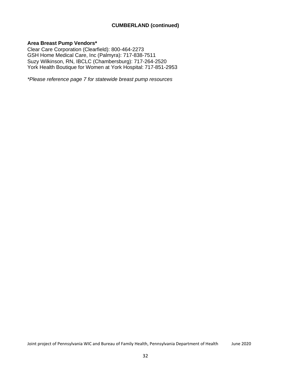# **CUMBERLAND (continued)**

#### **Area Breast Pump Vendors\***

Clear Care Corporation (Clearfield): 800-464-2273 GSH Home Medical Care, Inc (Palmyra): 717-838-7511 Suzy Wilkinson, RN, IBCLC (Chambersburg): 717-264-2520 York Health Boutique for Women at York Hospital: 717-851-2953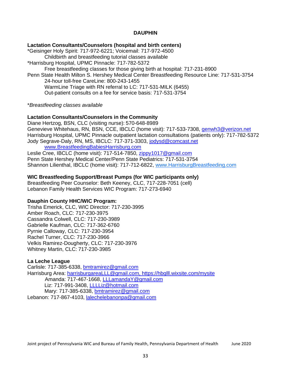# **DAUPHIN**

#### <span id="page-32-0"></span>**Lactation Consultants/Counselors (hospital and birth centers)**

\*Geisinger Holy Spirit: 717-972-6221; Voicemail: 717-972-4500 Childbirth and breastfeeding tutorial classes available \*Harrisburg Hospital, UPMC Pinnacle: 717-782-5372 Free breastfeeding classes for those giving birth at hospital: 717-231-8900 Penn State Health Milton S. Hershey Medical Center Breastfeeding Resource Line: 717-531-3754

24-hour toll-free CareLine: 800-243-1455 WarmLine Triage with RN referral to LC: 717-531-MILK (6455) Out-patient consults on a fee for service basis: 717-531-3754

\**Breastfeeding classes available*

## **Lactation Consultants/Counselors in the Community**

Diane Hertzog, BSN, CLC (visiting nurse): 570-648-8989 Genevieve Whitehaus, RN, BSN, CCE, IBCLC (home visit): 717-533-7308, [genwh3@verizon.net](mailto:genwh3@verizon.net) Harrisburg Hospital, UPMC Pinnacle outpatient lactation consultations (patients only): 717-782-5372 Jody Segrave-Daly, RN, MS, IBCLC: 717-371-3303, [jodysd@comcast.net](mailto:jodysd@comcast.net)

[www.BreastfeedingBabiesHarrisburg.com](http://www.breastfeedingbabiesharrisburg.com/) Leslie Cree, IBCLC (home visit): 717-514-7850, [zippy1017@gmail.com](mailto:zippy1017@gmail.com)

Penn State Hershey Medical Center/Penn State Pediatrics: 717-531-3754 Shannon Lilienthal, IBCLC (home visit): 717-712-6822, [www.HarrisburgBreastfeeding.com](http://www.harrisburgbreastfeeding.com/)

#### **WIC Breastfeeding Support/Breast Pumps (for WIC participants only)**

Breastfeeding Peer Counselor: Beth Keeney, CLC, 717-228-7051 (cell) Lebanon Family Health Services WIC Program: 717-273-6940

#### **Dauphin County HHC/WIC Program:**

Trisha Emerick, CLC, WIC Director: 717-230-3995 Amber Roach, CLC: 717-230-3975 Cassandra Colwell, CLC: 717-230-3989 Gabrielle Kaufman, CLC: 717-362-6760 Pyrnie Calloway, CLC: 717-230-3954 Rachel Turner, CLC: 717-230-3966 Velkis Ramirez-Dougherty, CLC: 717-230-3976 Whitney Martin, CLC: 717-230-3985

#### **La Leche League**

Carlisle: 717-385-6338, [bmtramirez@gmail.com](mailto:bmtramirez@gmail.com) Harrisburg Area: harrisburgareaLLL@gmail.com, https://hbglll.wixsite.com/mvsite Amanda: 717-467-1668, [LLLamandaY@gmail.com](mailto:LLLamandaY@gmail.com) Liz: 717-991-3408, [LLLLiz@hotmail.com](mailto:LLLLiz@hotmail.com) Mary: 717-385-6338, [bmtramirez@gmail.com](mailto:bmtramirez@gmail.com) Lebanon: 717-867-4103, [lalechelebanonpa@gmail.com](mailto:lalechelebanonpa@gmail.com)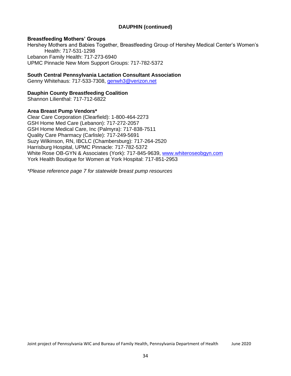# **DAUPHIN (continued)**

# **Breastfeeding Mothers' Groups**

Hershey Mothers and Babies Together, Breastfeeding Group of Hershey Medical Center's Women's Health: 717-531-1298 Lebanon Family Health: 717-273-6940 UPMC Pinnacle New Mom Support Groups: 717-782-5372

# **South Central Pennsylvania Lactation Consultant Association**

Genny Whitehaus: 717-533-7308, [genwh3@verizon.net](mailto:genwh3@verizon.net)

# **Dauphin County Breastfeeding Coalition**

Shannon Lilienthal: 717-712-6822

#### **Area Breast Pump Vendors\***

Clear Care Corporation (Clearfield): 1-800-464-2273 GSH Home Med Care (Lebanon): 717-272-2057 GSH Home Medical Care, Inc (Palmyra): 717-838-7511 Quality Care Pharmacy (Carlisle): 717-249-5691 Suzy Wilkinson, RN, IBCLC (Chambersburg): 717-264-2520 Harrisburg Hospital, UPMC Pinnacle: 717-782-5372 White Rose OB-GYN & Associates (York): 717-845-9639, [www.whiteroseobgyn.com](http://www.whiteroseobgyn.com/) York Health Boutique for Women at York Hospital: 717-851-2953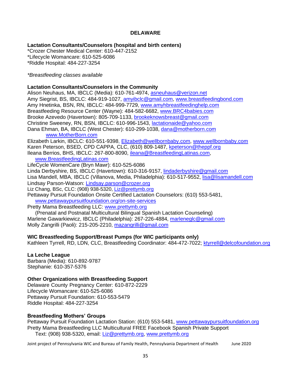# **DELAWARE**

# <span id="page-34-0"></span>**Lactation Consultants/Counselors (hospital and birth centers)**

\*Crozer Chester Medical Center: 610-447-2152 \*Lifecycle Womancare: 610-525-6086 \*Riddle Hospital: 484-227-3254

#### *\*Breastfeeding classes available*

#### **Lactation Consultants/Counselors in the Community**

Alison Neuhaus, MA, IBCLC (Media): 610-761-4974, [asneuhaus@verizon.net](mailto:asneuhaus@verizon.net) Amy Siegrist, BS, IBCLC: 484-919-1027, [amyibclc@gmail.com,](mailto:amyibclc@gmail.com) [www.breastfeedingbond.com](http://www.breastfeedingbond.com/) Amy Hnetinka, BSN, RN, IBCLC: 484-999-7729, [www.amyhbreastfeedinghelp.com](http://www.amyhbreastfeedinghelp.com/) Breastfeeding Resource Center (Wayne): 484-582-6682, [www.BRC4babies.com](http://www.brc4babies.com/) Brooke Azevedo (Havertown): 805-709-1133, [brookeknowsbreast@gmail.com](mailto:brookeknowsbreast@gmail.com) Christine Sweeney, RN, BSN, IBCLC: 610-996-1543, [lactationaide@yahoo.com](mailto:lactationaide@yahoo.com) Dana Ehman, BA, IBCLC (West Chester): 610-299-1038, [dana@motherborn.com](mailto:dana@motherborn.com) [www.MotherBorn.com](http://www.motherborn.com/)

Elizabeth Larkin, IBCLC: 610-551-9398, [Elizabeth@wellbornbaby.com,](mailto:Elizabeth@wellbornbaby.com) [www.wellbornbaby.com](http://www.wellbornbaby.com/) Karen Peterson, BSED, CPD CAPPA, CLC, (610) 809-1487, [kpeterson@theppf.org](mailto:kpeterson@theppf.org) Ileana Berrios, BHS, IBCLC: 267-800-8090, [ileana@BreastfeedingLatinas.com,](mailto:ileana@BreastfeedingLatinas.com)

[www.BreastfeedingLatinas.com](http://www.breastfeedinglatinas.com/)

LifeCycle WomenCare (Bryn Mawr): 610-525-6086

Linda Derbyshire, BS, IBCLC (Havertown): 610-316-9157, [lindaderbyshire@gmail.com](mailto:lindaderbyshire@gmail.com)

Lisa Mandell, MBA, IBCLC (Villanova, Media, Philadelphia): 610-517-9552, [lisa@lisamandell.com](mailto:lisa@lisamandell.com) Lindsay Parson-Watson: [Lindsay.parson@crozer.org](mailto:Lindsay.parson@crozer.org)

Liz Chang, BSc, CLC: (908) 938-5320, [Liz@prettymb.org](mailto:Liz@prettymb.org)

Pettaway Pursuit Foundation Onsite Certified Lactation Counselors: (610) 553-5481, [www.pettawaypursuitfoundation.org/on-site-services](http://www.pettawaypursuitfoundation.org/on-site-services)

Pretty Mama Breastfeeding LLC: [www.prettymb.org](http://www.prettymb.org/)

(Prenatal and Postnatal Multicultural Bilingual Spanish Lactation Counseling) Marlene Gawarkiewicz, IBCLC (Philadelphia): 267-226-4884, [marleneglc@gmail.com](mailto:marleneglc@gmail.com) Molly Zangrilli (Paoli): 215-205-2210, [mazangrilli@gmail.com](mailto:mazangrilli@gmail.com)

#### **WIC Breastfeeding Support/Breast Pumps (for WIC participants only)**

Kathleen Tyrrell, RD, LDN, CLC, Breastfeeding Coordinator: 484-472-7022; [ktyrrell@delcofoundation.org](mailto:ktyrrell@delcofoundation.org)

#### **La Leche League**

Barbara (Media): 610-892-9787 Stephanie: 610-357-5376

#### **Other Organizations with Breastfeeding Support**

Delaware County Pregnancy Center: 610-872-2229 Lifecycle Womancare: 610-525-6086 Pettaway Pursuit Foundation: 610-553-5479 Riddle Hospital: 484-227-3254

#### **Breastfeeding Mothers' Groups**

Pettaway Pursuit Foundation Lactation Station: (610) 553-5481, [www.pettawaypursuitfoundation.org](http://www.pettawaypursuitfoundation.org/) Pretty Mama Breastfeeding LLC Multicultural FREE Facebook Spanish Private Support Text: (908) 938-5320, email: [Liz@prettymb.org,](mailto:Liz@prettymb.org) [www.prettymb.org](http://www.prettymb.org/)

Joint project of Pennsylvania WIC and Bureau of Family Health, Pennsylvania Department of Health June 2020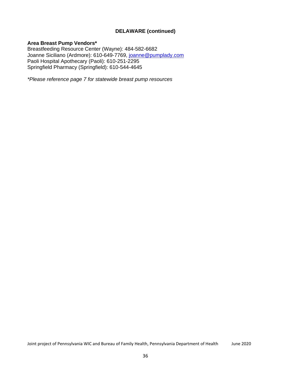# **DELAWARE (continued)**

# **Area Breast Pump Vendors\***

Breastfeeding Resource Center (Wayne): 484-582-6682 Joanne Siciliano (Ardmore): 610-649-7769, [joanne@pumplady.com](mailto:joanne@pumplady.com) Paoli Hospital Apothecary (Paoli): 610-251-2295 Springfield Pharmacy (Springfield): 610-544-4645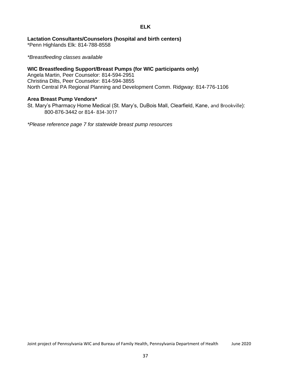## **ELK**

## **Lactation Consultants/Counselors (hospital and birth centers)**

\*Penn Highlands Elk: 814-788-8558

*\*Breastfeeding classes available*

## **WIC Breastfeeding Support/Breast Pumps (for WIC participants only)**

Angela Martin, Peer Counselor: 814-594-2951 Christina Dilts, Peer Counselor: 814-594-3855 North Central PA Regional Planning and Development Comm. Ridgway: 814-776-1106

## **Area Breast Pump Vendors\***

St. Mary's Pharmacy Home Medical (St. Mary's, DuBois Mall, Clearfield, Kane, and Brookville): 800-876-3442 or 814- 834-3017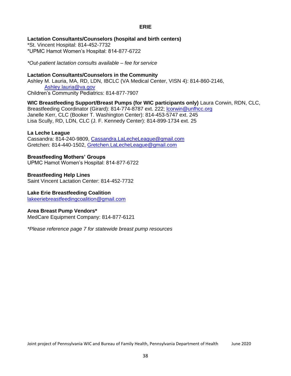## **ERIE**

## **Lactation Consultants/Counselors (hospital and birth centers)**

\*St. Vincent Hospital: 814-452-7732 \*UPMC Hamot Women's Hospital: 814-877-6722

*\*Out-patient lactation consults available – fee for service*

## **Lactation Consultants/Counselors in the Community**

Ashley M. Lauria, MA, RD, LDN, IBCLC (VA Medical Center, VISN 4): 814-860-2146, [Ashley.lauria@va.gov](mailto:Ashley.lauria@va.gov) Children's Community Pediatrics: 814-877-7907

## **WIC Breastfeeding Support/Breast Pumps (for WIC participants only)** Laura Corwin, RDN, CLC,

Breastfeeding Coordinator (Girard): 814-774-8787 ext. 222; [lcorwin@unfhcc.org](mailto:lcorwin@unfhcc.org) Janelle Kerr, CLC (Booker T. Washington Center): 814-453-5747 ext. 245 Lisa Scully, RD, LDN, CLC (J. F. Kennedy Center): 814-899-1734 ext. 25

### **La Leche League**

Cassandra: 814-240-9809, [Cassandra.LaLecheLeague@gmail.com](mailto:Cassandra.LaLecheLeague@gmail.com) Gretchen: 814-440-1502, [Gretchen.LaLecheLeague@gmail.com](mailto:Gretchen.LaLecheLeague@gmail.com)

**Breastfeeding Mothers' Groups** UPMC Hamot Women's Hospital: 814-877-6722

### **Breastfeeding Help Lines** Saint Vincent Lactation Center: 814-452-7732

## **Lake Erie Breastfeeding Coalition**

[lakeeriebreastfeedingcoalition@gmail.com](mailto:lakeeriebreastfeedingcoalition@gmail.com)

## **Area Breast Pump Vendors\***

MedCare Equipment Company: 814-877-6121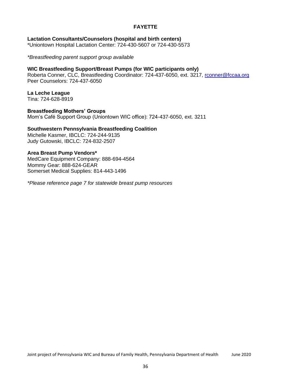## **FAYETTE**

**Lactation Consultants/Counselors (hospital and birth centers)** \*Uniontown Hospital Lactation Center: 724-430-5607 or 724-430-5573

*\*Breastfeeding parent support group available*

#### **WIC Breastfeeding Support/Breast Pumps (for WIC participants only)** Roberta Conner, CLC, Breastfeeding Coordinator: 724-437-6050, ext. 3217, [rconner@fccaa.org](mailto:rconner@fccaa.org) Peer Counselors: 724-437-6050

**La Leche League** Tina: 724-628-8919

**Breastfeeding Mothers' Groups** Mom's Café Support Group (Uniontown WIC office): 724-437-6050, ext. 3211

# **Southwestern Pennsylvania Breastfeeding Coalition**

Michelle Kasmer, IBCLC: 724-244-9135 Judy Gutowski, IBCLC: 724-832-2507

# **Area Breast Pump Vendors\***

MedCare Equipment Company: 888-694-4564 Mommy Gear: 888-624-GEAR Somerset Medical Supplies: 814-443-1496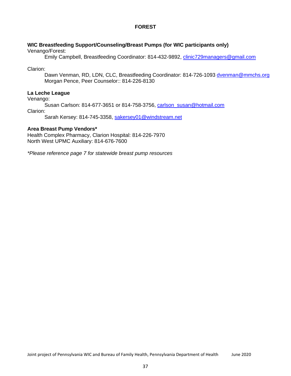## **FOREST**

## **WIC Breastfeeding Support/Counseling/Breast Pumps (for WIC participants only)**

Venango/Forest:

Emily Campbell, Breastfeeding Coordinator: 814-432-9892, [clinic729managers@gmail.com](mailto:clinic729managers@gmail.com)

Clarion:

Dawn Venman, RD, LDN, CLC, Breastfeeding Coordinator: 814-726-1093 [dvenman@mmchs.org](mailto:dvenman@mmchs.org) Morgan Pence, Peer Counselor:: 814-226-8130

## **La Leche League**

Venango:

Susan Carlson: 814-677-3651 or 814-758-3756, [carlson\\_susan@hotmail.com](mailto:carlson_susan@hotmail.com) Clarion:

Sarah Kersey: 814-745-3358, [sakersey01@windstream.net](mailto:sakersey01@windstream.net)

## **Area Breast Pump Vendors\***

Health Complex Pharmacy, Clarion Hospital: 814-226-7970 North West UPMC Auxiliary: 814-676-7600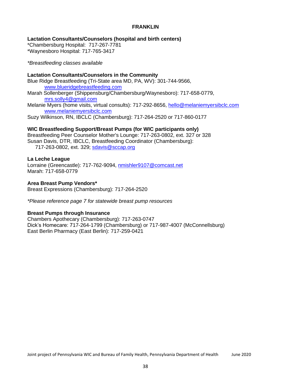## **FRANKLIN**

**Lactation Consultants/Counselors (hospital and birth centers)**

\*Chambersburg Hospital: 717-267-7781 \*Waynesboro Hospital: 717-765-3417

*\*Breastfeeding classes available*

## **Lactation Consultants/Counselors in the Community**

- Blue Ridge Breastfeeding (Tri-State area MD, PA, WV): 301-744-9566, [www.blueridgebreastfeeding.com](http://www.blueridgebreastfeeding.com/)
- Marah Sollenberger (Shippensburg/Chambersburg/Waynesboro): 717-658-0779, [mrs.solly4@gmail.com](mailto:mrs.solly4@gmail.com)
- Melanie Myers (home visits, virtual consults): 717-292-8656, [hello@melaniemyersibclc.com](mailto:hello@melaniemyersibclc.com) [www.melaniemyersibclc.com](http://www.melaniemyersibclc.com/)

Suzy Wilkinson, RN, IBCLC (Chambersburg): 717-264-2520 or 717-860-0177

## **WIC Breastfeeding Support/Breast Pumps (for WIC participants only)**

Breastfeeding Peer Counselor Mother's Lounge: 717-263-0802, ext. 327 or 328 Susan Davis, DTR, IBCLC, Breastfeeding Coordinator (Chambersburg): 717-263-0802, ext. 329; [sdavis@sccap.org](mailto:sdavis@sccap.org)

## **La Leche League**

Lorraine (Greencastle): 717-762-9094, [nmishler9107@comcast.net](mailto:nmishler9107@comcast.net) Marah: 717-658-0779

## **Area Breast Pump Vendors\***

Breast Expressions (Chambersburg): 717-264-2520

*\*Please reference page 7 for statewide breast pump resources*

## **Breast Pumps through Insurance**

Chambers Apothecary (Chambersburg): 717-263-0747 Dick's Homecare: 717-264-1799 (Chambersburg) or 717-987-4007 (McConnellsburg) East Berlin Pharmacy (East Berlin): 717-259-0421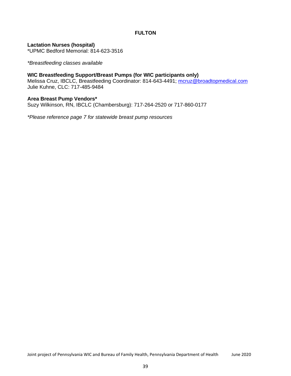## **FULTON**

**Lactation Nurses (hospital)**

\*UPMC Bedford Memorial: 814-623-3516

*\*Breastfeeding classes available*

## **WIC Breastfeeding Support/Breast Pumps (for WIC participants only)**

Melissa Cruz, IBCLC, Breastfeeding Coordinator: 814-643-4491; [mcruz@broadtopmedical.com](mailto:mcruz@broadtopmedical.com) Julie Kuhne, CLC: 717-485-9484

### **Area Breast Pump Vendors\***

Suzy Wilkinson, RN, IBCLC (Chambersburg): 717-264-2520 or 717-860-0177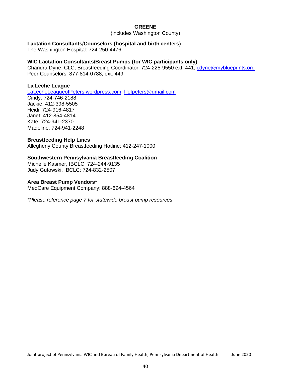### **GREENE**

(includes Washington County)

### **Lactation Consultants/Counselors (hospital and birth centers)**

The Washington Hospital: 724-250-4476

## **WIC Lactation Consultants/Breast Pumps (for WIC participants only)**

Chandra Dyne, CLC, Breastfeeding Coordinator: 724-225-9550 ext. 441; [cdyne@myblueprints.org](mailto:cdyne@myblueprints.org) Peer Counselors: 877-814-0788, ext. 449

### **La Leche League**

LaLecheLeagueofPeters.wordpress.com, [lllofpeters@gmail.com](mailto:lllofpeters@gmail.com)

Cindy: 724-746-2188 Jackie: 412-398-5505 Heidi: 724-916-4817 Janet: 412-854-4814 Kate: 724-941-2370 Madeline: 724-941-2248

## **Breastfeeding Help Lines**

Allegheny County Breastfeeding Hotline: 412-247-1000

## **Southwestern Pennsylvania Breastfeeding Coalition**

Michelle Kasmer, IBCLC: 724-244-9135 Judy Gutowski, IBCLC: 724-832-2507

### **Area Breast Pump Vendors\***

MedCare Equipment Company: 888-694-4564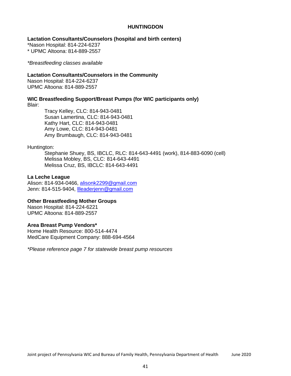### **HUNTINGDON**

### **Lactation Consultants/Counselors (hospital and birth centers)**

\*Nason Hospital: 814-224-6237

\* UPMC Altoona: 814-889-2557

*\*Breastfeeding classes available*

### **Lactation Consultants/Counselors in the Community**

Nason Hospital: 814-224-6237 UPMC Altoona: 814-889-2557

**WIC Breastfeeding Support/Breast Pumps (for WIC participants only)**

Blair:

Tracy Kelley, CLC: 814-943-0481 Susan Lamertina, CLC: 814-943-0481 Kathy Hart, CLC: 814-943-0481 Amy Lowe, CLC: 814-943-0481 Amy Brumbaugh, CLC: 814-943-0481

Huntington:

Stephanie Shuey, BS, IBCLC, RLC: 814-643-4491 (work), 814-883-6090 (cell) Melissa Mobley, BS, CLC: 814-643-4491 Melissa Cruz, BS, IBCLC: 814-643-4491

## **La Leche League**

Alison: 814-934-0466, [alisonk2299@gmail.com](mailto:alisonk2299@gmail.com) Jenn: 814-515-9404, [llleaderjenn@gmail.com](mailto:llleaderjenn@gmail.com)

## **Other Breastfeeding Mother Groups**

Nason Hospital: 814-224-6221 UPMC Altoona: 814-889-2557

### **Area Breast Pump Vendors\***

Home Health Resource: 800-514-4474 MedCare Equipment Company: 888-694-4564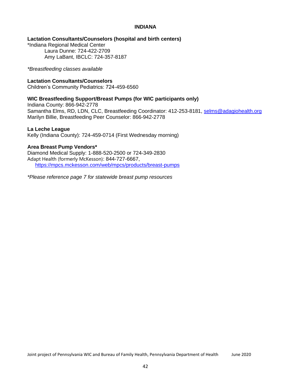### **INDIANA**

## **Lactation Consultants/Counselors (hospital and birth centers)**

\*Indiana Regional Medical Center Laura Dunne: 724-422-2709 Amy LaBant, IBCLC: 724-357-8187

*\*Breastfeeding classes available*

## **Lactation Consultants/Counselors**

Children's Community Pediatrics: 724-459-6560

## **WIC Breastfeeding Support/Breast Pumps (for WIC participants only)**

Indiana County: 866-942-2778 Samantha Elms, RD, LDN, CLC, Breastfeeding Coordinator: 412-253-8181, [selms@adagiohealth.org](mailto:selms@adagiohealth.org) Marilyn Billie, Breastfeeding Peer Counselor: 866-942-2778

## **La Leche League**

Kelly (Indiana County): 724-459-0714 (First Wednesday morning)

## **Area Breast Pump Vendors\***

Diamond Medical Supply: 1-888-520-2500 or 724-349-2830 Adapt Health (formerly McKesson): 844-727-6667, <https://mpcs.mckesson.com/web/mpcs/products/breast-pumps>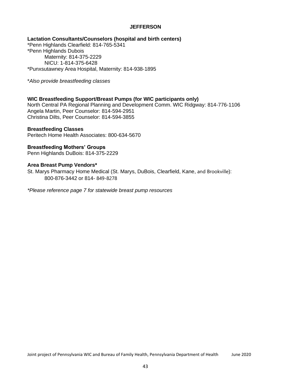## **JEFFERSON**

**Lactation Consultants/Counselors (hospital and birth centers)** \*Penn Highlands Clearfield: 814-765-5341 \*Penn Highlands Dubois Maternity: 814-375-2229 NICU: 1-814-375-6428 \*Punxsutawney Area Hospital, Maternity: 814-938-1895

\**Also provide breastfeeding classes*

### **WIC Breastfeeding Support/Breast Pumps (for WIC participants only)**

North Central PA Regional Planning and Development Comm. WIC Ridgway: 814-776-1106 Angela Martin, Peer Counselor: 814-594-2951 Christina Dilts, Peer Counselor: 814-594-3855

#### **Breastfeeding Classes**

Peritech Home Health Associates: 800-634-5670

## **Breastfeeding Mothers' Groups**

Penn Highlands DuBois: 814-375-2229

#### **Area Breast Pump Vendors\***

St. Marys Pharmacy Home Medical (St. Marys, DuBois, Clearfield, Kane, and Brookville): 800-876-3442 or 814- 849-8278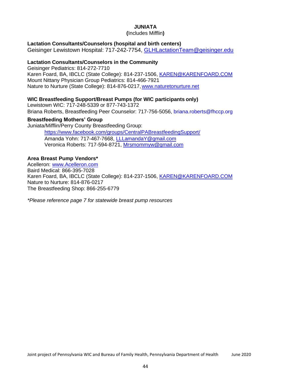## **JUNIATA**

**(**Includes Mifflin**)**

## **Lactation Consultants/Counselors (hospital and birth centers)**

Geisinger Lewistown Hospital: 717-242-7754, [GLHLactationTeam@geisinger.edu](mailto:GLHLactationTeam@geisinger.edu)

## **Lactation Consultants/Counselors in the Community**

Geisinger Pediatrics: 814-272-7710 Karen Foard, BA, IBCLC (State College): 814-237-1506, [KAREN@KARENFOARD.COM](mailto:KAREN@KARENFOARD.COM) Mount Nittany Physician Group Pediatrics: 814-466-7921 Nature to Nurture (State College): 814-876-0217, [www.naturetonurture.net](http://www.naturetonurture.net/)

## **WIC Breastfeeding Support/Breast Pumps (for WIC participants only)**

Lewistown WIC: 717-248-5339 or 877-743-1372 Briana Roberts, Breastfeeding Peer Counselor: 717-756-5056, briana.roberts@fhccp.org

## **Breastfeeding Mothers' Group**

Juniata/Mifflin/Perry County Breastfeeding Group:

https:/[/www.facebook.com/groups/CentralPABreastfeedingSupport/](http://www.facebook.com/groups/CentralPABreastfeedingSupport/) Amanda Yohn: 717-467-7668, [LLLamandaY@gmail.com](mailto:LLLamandaY@gmail.com) Veronica Roberts: 717-594-8721, [Mrsmommyw@gmail.com](mailto:Mrsmommyw@gmail.com)

## **Area Breast Pump Vendors\***

Acelleron: [www.Acelleron.com](http://www.acelleron.com/) Baird Medical: 866-395-7028 Karen Foard, BA, IBCLC (State College): 814-237-1506, [KAREN@KARENFOARD.COM](mailto:KAREN@KARENFOARD.COM) Nature to Nurture: 814-876-0217 The Breastfeeding Shop: 866-255-6779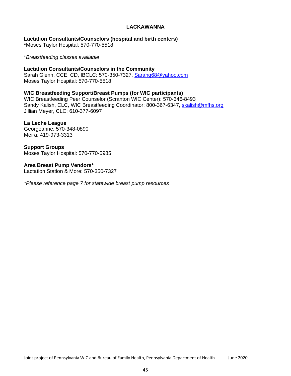## **LACKAWANNA**

**Lactation Consultants/Counselors (hospital and birth centers)**

\*Moses Taylor Hospital: 570-770-5518

\**Breastfeeding classes available*

**Lactation Consultants/Counselors in the Community** Sarah Glenn, CCE, CD, IBCLC: 570-350-7327, [Sarahg68@yahoo.com](mailto:Sarahg68@yahoo.com) Moses Taylor Hospital: 570-770-5518

**WIC Breastfeeding Support/Breast Pumps (for WIC participants)** WIC Breastfeeding Peer Counselor (Scranton WIC Center): 570-346-8493 Sandy Kalish, CLC, WIC Breastfeeding Coordinator: 800-367-6347, [skalish@mfhs.org](mailto:skalish@mfhs.org) Jillian Meyer, CLC: 610-377-6097

**La Leche League** Georgeanne: 570-348-0890 Meira: 419-973-3313

**Support Groups** Moses Taylor Hospital: 570-770-5985

**Area Breast Pump Vendors\*** Lactation Station & More: 570-350-7327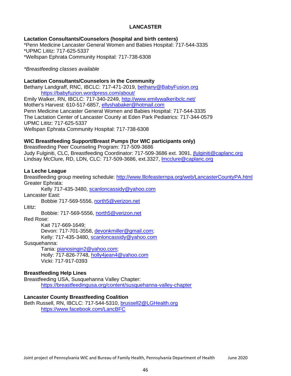# **LANCASTER**

## **Lactation Consultants/Counselors (hospital and birth centers)**

\*Penn Medicine Lancaster General Women and Babies Hospital: 717-544-3335 \*UPMC Lititz: 717-625-5337 \*Wellspan Ephrata Community Hospital: 717-738-6308

## *\*Breastfeeding classes available*

## **Lactation Consultants/Counselors in the Community**

Bethany Landgraff, RNC, IBCLC: 717-471-2019, [bethany@BabyFusion.org](mailto:bethany@BabyFusion.org) https://babyfuzion.wordpress.com/about/ Emily Walker, RN, IBCLC: 717-340-2249, <http://www.emilywalkeribclc.net/> Mother's Harvest: 610-517-6857, [ellyshabaker@hotmail.com](mailto:ellyshabaker@hotmail.com) Penn Medicine Lancaster General Women and Babies Hospital: 717-544-3335 The Lactation Center of Lancaster County at Eden Park Pediatrics: 717-344-0579 UPMC Lititz: 717-625-5337 Wellspan Ephrata Community Hospital: 717-738-6308

## **WIC Breastfeeding Support/Breast Pumps (for WIC participants only)**

Breastfeeding Peer Counseling Program: 717-509-3686 Judy Fulginiti, CLC, Breastfeeding Coordinator: 717-509-3686 ext. 3091, [jfulginiti@caplanc.org](mailto:jfulginiti@caplanc.org) Lindsay McClure, RD, LDN, CLC: 717-509-3686, ext.3327, [lmcclure@caplanc.org](mailto:lmcclure@caplanc.org)

## **La Leche League**

Breastfeeding group meeting schedule:<http://www.lllofeasternpa.org/web/LancasterCountyPA.html> Greater Ephrata:

Kelly 717-435-3480, [scanloncassidy@yahoo.com](mailto:scanloncassidy@yahoo.com)

Lancaster East:

Bobbie 717-569-5556, [north5@verizon.net](mailto:north5@verizon.net)

Lititz:

Bobbie: 717-569-5556, [north5@verizon.net](mailto:north5@verizon.net)

Red Rose:

Kait 717-669-1649;

Devon: 717-701-3558, devonkmiller@gmail.com;

Kelly: 717-435-3480, [scanloncassidy@yahoo.com](mailto:scanloncassidy@yahoo.com)

Susquehanna:

Tania: pianosingin2@yahoo.com;

Holly: 717-826-7748, [holly4jean4@yahoo.com](mailto:holly4jean4@yahoo.com) Vicki: 717-917-0393

## **Breastfeeding Help Lines**

Breastfeeding USA, Susquehanna Valley Chapter: https://breastfeedingusa.org/content/susquehanna-valley-chapter

### **Lancaster County Breastfeeding Coalition**

Beth Russell, RN, IBCLC: 717-544-5310, [brussell2@LGHealth.org](mailto:brussell2@LGHealth.org) https:/[/www.facebook.com/LancBFC](http://www.facebook.com/LancBFC)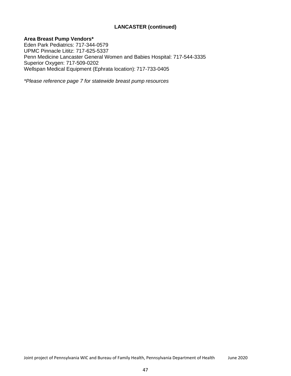# **LANCASTER (continued)**

## **Area Breast Pump Vendors\***

Eden Park Pediatrics: 717-344-0579 UPMC Pinnacle Lititz: 717-625-5337 Penn Medicine Lancaster General Women and Babies Hospital: 717-544-3335 Superior Oxygen: 717-509-0202 Wellspan Medical Equipment (Ephrata location): 717-733-0405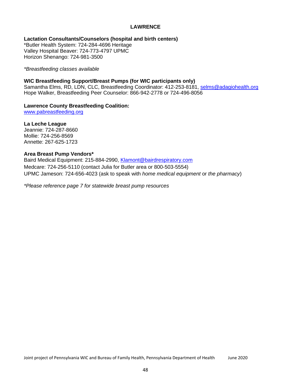## **LAWRENCE**

**Lactation Consultants/Counselors (hospital and birth centers)**

\*Butler Health System: 724-284-4696 Heritage Valley Hospital Beaver: 724-773-4797 UPMC Horizon Shenango: 724-981-3500

*\*Breastfeeding classes available*

## **WIC Breastfeeding Support/Breast Pumps (for WIC participants only)**

Samantha Elms, RD, LDN, CLC, Breastfeeding Coordinator: 412-253-8181, [selms@adagiohealth.org](mailto:selms@adagiohealth.org) Hope Walker, Breastfeeding Peer Counselor: 866-942-2778 or 724-496-8056

## **Lawrence County Breastfeeding Coalition:**

[www.pabreastfeeding.org](http://www.pabreastfeeding.org/)

**La Leche League** Jeannie: 724-287-8660 Mollie: 724-256-8569 Annette: 267-625-1723

## **Area Breast Pump Vendors\***

Baird Medical Equipment: 215-884-2990, [Klamont@bairdrespiratory.com](mailto:Klamont@bairdrespiratory.com) Medcare: 724-256-5110 (contact Julia for Butler area or 800-503-5554) UPMC Jameson: 724-656-4023 (ask to speak with *home medical equipment* or *the pharmacy*)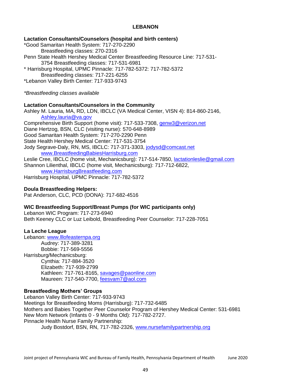## **LEBANON**

## **Lactation Consultants/Counselors (hospital and birth centers)**

\*Good Samaritan Health System: 717-270-2290 Breastfeeding classes: 270-2316 Penn State Health Hershey Medical Center Breastfeeding Resource Line: 717-531- 3754 Breastfeeding classes: 717-531-6981 \* Harrisburg Hospital, UPMC Pinnacle: 717-782-5372: 717-782-5372 Breastfeeding classes: 717-221-6255 \*Lebanon Valley Birth Center: 717-933-9743

*\*Breastfeeding classes available*

## **Lactation Consultants/Counselors in the Community**

Ashley M. Lauria, MA, RD, LDN, IBCLC (VA Medical Center, VISN 4): 814-860-2146, [Ashley.lauria@va.gov](mailto:Ashley.lauria@va.gov) Comprehensive Birth Support (home visit): 717-533-7308, [genw3@verizon.net](mailto:genw3@verizon.net) Diane Hertzog, BSN, CLC (visiting nurse): 570-648-8989 Good Samaritan Health System: 717-270-2290 Penn State Health Hershey Medical Center: 717-531-3754 Jody Segrave-Daly, RN, MS, IBCLC: 717-371-3303, [jodysd@comcast.net](mailto:jodysd@comcast.net) [www.BreastfeedingBabiesHarrisburg.com](http://www.breastfeedingbabiesharrisburg.com/) Leslie Cree, IBCLC (home visit, Mechanicsburg): 717-514-7850, [lactationleslie@gmail.com](mailto:lactationleslie@gmail.com) Shannon Lilienthal, IBCLC (home visit, Mechanicsburg): 717-712-6822, [www.HarrisburgBreastfeeding.com](http://www.harrisburgbreastfeeding.com/)

Harrisburg Hospital, UPMC Pinnacle: 717-782-5372

## **Doula Breastfeeding Helpers:**

Pat Anderson, CLC, PCD (DONA): 717-682-4516

## **WIC Breastfeeding Support/Breast Pumps (for WIC participants only)**

Lebanon WIC Program: 717-273-6940 Beth Keeney CLC or Luz Leibold, Breastfeeding Peer Counselor: 717-228-7051

## **La Leche League**

Lebanon: [www.lllofeasternpa.org](http://www.lllofeasternpa.org/) Audrey: 717-389-3281 Bobbie: 717-569-5556 Harrisburg/Mechanicsburg: Cynthia: 717-884-3520 Elizabeth: 717-939-2799 Kathleen: 717-761-8165, [savages@paonline.com](mailto:savages@paonline.com) Maureen: 717-540-7700, [feesvam7@aol.com](mailto:feesvam7@aol.com)

## **Breastfeeding Mothers' Groups**

Lebanon Valley Birth Center: 717-933-9743 Meetings for Breastfeeding Moms (Harrisburg): 717-732-6485 Mothers and Babies Together Peer Counselor Program of Hershey Medical Center: 531-6981 New Mom Network (Infants 0 - 9 Months Old): 717-782-2727. Pinnacle Health Nurse Family Partnership: Judy Bostdorf, BSN, RN, 717-782-2326, [www.nursefamilypartnership.org](http://www.nursefamilypartnership.org/)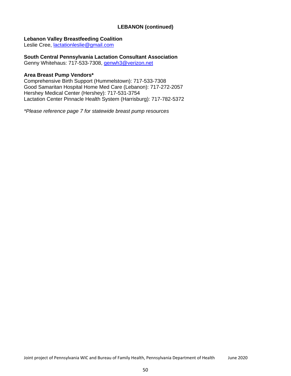## **LEBANON (continued)**

## **Lebanon Valley Breastfeeding Coalition**

Leslie Cree, [lactationleslie@gmail.com](mailto:lactationleslie@gmail.com)

## **South Central Pennsylvania Lactation Consultant Association**

Genny Whitehaus: 717-533-7308, [genwh3@verizon.net](mailto:genwh3@verizon.net)

## **Area Breast Pump Vendors\***

Comprehensive Birth Support (Hummelstown): 717-533-7308 Good Samaritan Hospital Home Med Care (Lebanon): 717-272-2057 Hershey Medical Center (Hershey): 717-531-3754 Lactation Center Pinnacle Health System (Harrisburg): 717-782-5372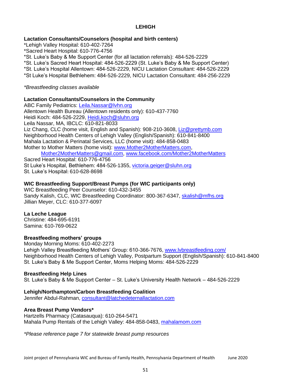# **LEHIGH**

## **Lactation Consultants/Counselors (hospital and birth centers)**

\*Lehigh Valley Hospital: 610-402-7264 \*Sacred Heart Hospital: 610-776-4756 \*St. Luke's Baby & Me Support Center (for all lactation referrals): 484-526-2229 \*St. Luke's Sacred Heart Hospital: 484-526-2229 (St. Luke's Baby & Me Support Center) \*St. Luke's Hospital Allentown: 484-526-2229, NICU Lactation Consultant: 484-526-2229 \*St Luke's Hospital Bethlehem: 484-526-2229, NICU Lactation Consultant: 484-256-2229

### *\*Breastfeeding classes available*

## **Lactation Consultants/Counselors in the Community**

ABC Family Pediatrics: [Leila.Nassar@lvhn.org](mailto:Leila.Nassar@lvhn.org) Allentown Health Bureau (Allentown residents only): 610-437-7760 Heidi Koch: 484-526-2229, [Heidi.koch@sluhn.org](mailto:Heidi.koch@sluhn.org) Leila Nassar, MA, IBCLC: 610-821-8033 Liz Chang, CLC (home visit, English and Spanish): 908-210-3608, [Liz@prettymb.com](mailto:Liz@prettymb.com) Neighborhood Health Centers of Lehigh Valley (English/Spanish): 610-841-8400 Mahala Lactation & Perinatal Services, LLC (home visit): 484-858-0483 Mother to Mother Matters (home visit): [www.Mother2MotherMatters.com,](http://www.mother2mothermatters.com/) [Mother2MotherMatters@gmail.com,](mailto:Mother2MotherMatters@gmail.com) [www.facebook.com/Mother2MotherMatters](http://www.facebook.com/Mother2MotherMatters) Sacred Heart Hospital: 610-776-4756

St Luke's Hospital, Bethlehem: 484-526-1355, [victoria.geiger@sluhn.org](mailto:victoria.geiger@sluhn.org) St. Luke's Hospital: 610-628-8698

## **WIC Breastfeeding Support/Breast Pumps (for WIC participants only)**

WIC Breastfeeding Peer Counselor: 610-432-3455 Sandy Kalish, CLC, WIC Breastfeeding Coordinator: 800-367-6347, [skalish@mfhs.org](mailto:skalish@mfhs.org) Jillian Meyer, CLC: 610-377-6097

### **La Leche League**

Christine: 484-695-6191 Samina: 610-769-0622

## **Breastfeeding mothers' groups**

Monday Morning Moms: 610-402-2273 Lehigh Valley Breastfeeding Mothers' Group: 610-366-7676, [www.lvbreastfeeding.com/](http://www.lvbreastfeeding.com/) Neighborhood Health Centers of Lehigh Valley, Postpartum Support (English/Spanish): 610-841-8400 St. Luke's Baby & Me Support Center, Moms Helping Moms: 484-526-2229

### **Breastfeeding Help Lines**

St. Luke's Baby & Me Support Center – St. Luke's University Health Network – 484-526-2229

## **Lehigh/Northampton/Carbon Breastfeeding Coalition**

Jennifer Abdul-Rahman, [consultant@latchedeternallactation.com](mailto:consultant@latchedeternallactation.com)

### **Area Breast Pump Vendors\***

Hartzells Pharmacy (Catasauqua): 610-264-5471 Mahala Pump Rentals of the Lehigh Valley: 484-858-0483, mahalamom.com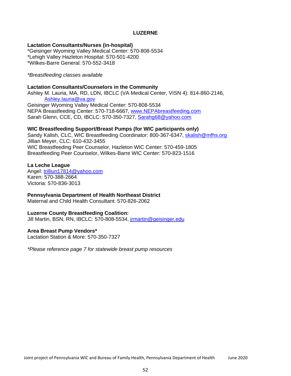## **LUZERNE**

### **Lactation Consultants/Nurses (in-hospital)**

\*Geisinger Wyoming Valley Medical Center: 570-808-5534 \*Lehigh Valley Hazleton Hospital: 570-501-4200 \*Wilkes-Barre General: 570-552-3418

#### *\*Breastfeeding classes available*

#### **Lactation Consultants/Counselors in the Community**

Ashley M. Lauria, MA, RD, LDN, IBCLC (VA Medical Center, VISN 4): 814-860-2146, [Ashley.lauria@va.gov](mailto:Ashley.lauria@va.gov) Geisinger Wyoming Valley Medical Center: 570-808-5534 NEPA Breastfeeding Center: 570-718-6667, [www.NEPAbreastfeeding.com](http://www.nepabreastfeeding.com/) Sarah Glenn, CCE, CD, IBCLC: 570-350-7327, [Sarahg68@yahoo.com](mailto:Sarahg68@yahoo.com)

#### **WIC Breastfeeding Support/Breast Pumps (for WIC participants only)**

Sandy Kalish, CLC, WIC Breastfeeding Coordinator: 800-367-6347, [skalish@mfhs.org](mailto:skalish@mfhs.org) Jillian Meyer, CLC: 610-432-3455 WIC Breastfeeding Peer Counselor, Hazleton WIC Center: 570-459-1805 Breastfeeding Peer Counselor, Wilkes-Barre WIC Center: 570-823-1516

#### **La Leche League**

Angel: [trilliun17814@yahoo.com](mailto:trilliun17814@yahoo.com) Karen: 570-388-2664 Victoria: 570-836-3013

#### **Pennsylvania Department of Health Northeast District**

Maternal and Child Health Consultant: 570-826-2062

#### **Luzerne County Breastfeeding Coalition:**

Jill Martin, BSN, RN, IBCLC: 570-808-5534, [jrmartin@geisinger.edu](mailto:jrmartin@geisinger.edu)

### **Area Breast Pump Vendors\***

Lactation Station & More: 570-350-7327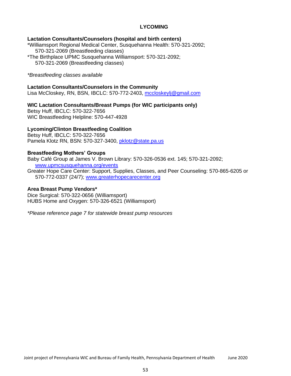# **LYCOMING**

### **Lactation Consultants/Counselors (hospital and birth centers)**

\*Williamsport Regional Medical Center, Susquehanna Health: 570-321-2092; 570-321-2069 (Breastfeeding classes) \*The Birthplace UPMC Susquehanna Williamsport: 570-321-2092; 570-321-2069 (Breastfeeding classes)

#### *\*Breastfeeding classes available*

### **Lactation Consultants/Counselors in the Community**

Lisa McCloskey, RN, BSN, IBCLC: 570-772-2403, [mccloskeylj@gmail.com](mailto:mccloskeylj@gmail.com)

## **WIC Lactation Consultants/Breast Pumps (for WIC participants only)**

Betsy Huff, IBCLC: 570-322-7656 WIC Breastfeeding Helpline: 570-447-4928

### **Lycoming/Clinton Breastfeeding Coalition**

Betsy Huff, IBCLC: 570-322-7656 Pamela Klotz RN, BSN: 570-327-3400, [pklotz@state.pa.us](mailto:pklotz@state.pa.us)

### **Breastfeeding Mothers' Groups**

Baby Café Group at James V. Brown Library: 570-326-0536 ext. 145; 570-321-2092; [www.upmcsusquehanna.org/events](http://www.upmcsusquehanna.org/events)

Greater Hope Care Center: Support, Supplies, Classes, and Peer Counseling: 570-865-6205 or 570-772-0337 (24/7); [www.greaterhopecarecenter.org](http://www.greaterhopecarecenter.org/)

### **Area Breast Pump Vendors\***

Dice Surgical: 570-322-0656 (Williamsport) HUBS Home and Oxygen: 570-326-6521 (Williamsport)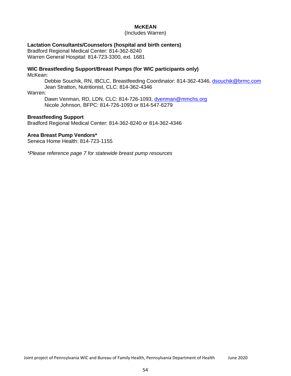## **McKEAN**

(Includes Warren)

### **Lactation Consultants/Counselors (hospital and birth centers)**

Bradford Regional Medical Center: 814-362-8240 Warren General Hospital: 814-723-3300, ext. 1681

# **WIC Breastfeeding Support/Breast Pumps (for WIC participants only)**

McKean:

Debbie Souchik, RN, IBCLC, Breastfeeding Coordinator: 814-362-4346, [dsouchik@brmc.com](mailto:dsouchik@brmc.com) Jean Stratton, Nutritionist, CLC: 814-362-4346

#### Warren:

Dawn Venman, RD, LDN, CLC: 814-726-1093, [dvenman@mmchs.org](mailto:dvenman@mmchs.org) Nicole Johnson, BFPC: 814-726-1093 or 814-547-6279

### **Breastfeeding Support**

Bradford Regional Medical Center: 814-362-8240 or 814-362-4346

### **Area Breast Pump Vendors\***

Seneca Home Health: 814-723-1155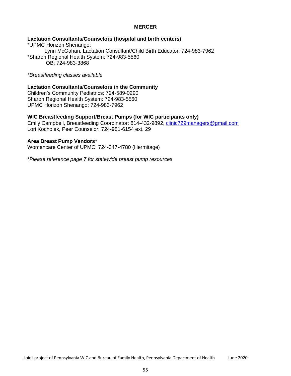## **MERCER**

## **Lactation Consultants/Counselors (hospital and birth centers)**

\*UPMC Horizon Shenango: Lynn McGahan, Lactation Consultant/Child Birth Educator: 724-983-7962 \*Sharon Regional Health System: 724-983-5560 OB: 724-983-3868

*\*Breastfeeding classes available*

### **Lactation Consultants/Counselors in the Community**

Children's Community Pediatrics: 724-589-0290 Sharon Regional Health System: 724-983-5560 UPMC Horizon Shenango: 724-983-7962

#### **WIC Breastfeeding Support/Breast Pumps (for WIC participants only)**

Emily Campbell, Breastfeeding Coordinator: 814-432-9892, [clinic729managers@gmail.com](mailto:clinic729managers@gmail.com) Lori Kocholek, Peer Counselor: 724-981-6154 ext. 29

#### **Area Breast Pump Vendors\***

Womencare Center of UPMC: 724-347-4780 (Hermitage)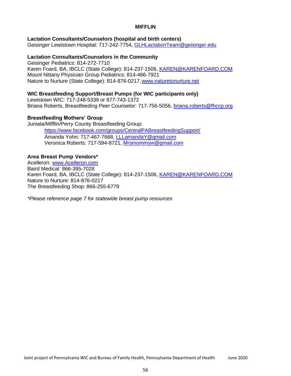## **MIFFLIN**

## **Lactation Consultants/Counselors (hospital and birth centers)**

Geisinger Lewistown Hospital: 717-242-7754, **GLHLactationTeam@geisinger.edu** 

### **Lactation Consultants/Counselors in the Community**

Geisinger Pediatrics: 814-272-7710 Karen Foard, BA, IBCLC (State College): 814-237-1506, [KAREN@KARENFOARD.COM](mailto:KAREN@KARENFOARD.COM) Mount Nittany Physician Group Pediatrics: 814-466-7921 Nature to Nurture (State College): 814-876-0217[,www.naturetonurture.net](http://www.naturetonurture.net/)

## **WIC Breastfeeding Support/Breast Pumps (for WIC participants only)**

Lewistown WIC: 717-248-5339 or 877-743-1372 Briana Roberts, Breastfeeding Peer Counselor: 717-756-5056, [briana.roberts@fhccp.org](mailto:briana.roberts@fhccp.org)

## **Breastfeeding Mothers' Group**

Juniata/Mifflin/Perry County Breastfeeding Group:

https:/[/www.facebook.com/groups/CentralPABreastfeedingSupport/](http://www.facebook.com/groups/CentralPABreastfeedingSupport/) Amanda Yohn: 717-467-7668, [LLLamandaY@gmail.com](mailto:LLLamandaY@gmail.com) Veronica Roberts: 717-594-8721, [Mrsmommyw@gmail.com](mailto:Mrsmommyw@gmail.com)

## **Area Breast Pump Vendors\***

Acelleron: [www.Acelleron.com](http://www.acelleron.com/) Baird Medical: 866-395-7028 Karen Foard, BA, IBCLC (State College): 814-237-1506, [KAREN@KARENFOARD.COM](mailto:KAREN@KARENFOARD.COM) Nature to Nurture: 814-876-0217 The Breastfeeding Shop: 866-255-6779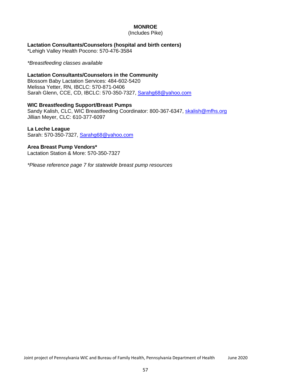## **MONROE**

(Includes Pike)

## **Lactation Consultants/Counselors (hospital and birth centers)**

\*Lehigh Valley Health Pocono: 570-476-3584

### *\*Breastfeeding classes available*

## **Lactation Consultants/Counselors in the Community**

Blossom Baby Lactation Services: 484-602-5420 Melissa Yetter, RN, IBCLC: 570-871-0406 Sarah Glenn, CCE, CD, IBCLC: 570-350-7327, [Sarahg68@yahoo.com](mailto:Sarahg68@yahoo.com)

## **WIC Breastfeeding Support/Breast Pumps**

Sandy Kalish, CLC, WIC Breastfeeding Coordinator: 800-367-6347, [skalish@mfhs.org](mailto:skalish@mfhs.org) Jillian Meyer, CLC: 610-377-6097

## **La Leche League**

Sarah: 570-350-7327, [Sarahg68@yahoo.com](mailto:Sarahg68@yahoo.com)

## **Area Breast Pump Vendors\***

Lactation Station & More: 570-350-7327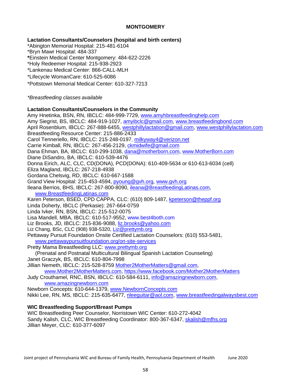## **MONTGOMERY**

## **Lactation Consultants/Counselors (hospital and birth centers)**

\*Abington Memorial Hospital: 215-481-6104

\*Bryn Mawr Hospital: 484-337

**\***Einstein Medical Center Montgomery: 484-622-2226

\*Holy Redeemer Hospital: 215-938-2923

\*Lankenau Medical Center: 866-CALL-MLH

\*Lifecycle WomanCare: 610-525-6086

\*Pottstown Memorial Medical Center: 610-327-7213

*\*Breastfeeding classes available*

## **Lactation Consultants/Counselors in the Community**

Amy Hnetinka, BSN, RN, IBCLC: 484-999-7729, [www.amyhbreastfeedinghelp.com](http://www.amyhbreastfeedinghelp.com/) Amy Siegrist, BS, IBCLC: 484-919-1027, [amyibclc@gmail.com,](mailto:amyibclc@gmail.com) [www.breastfeedingbond.com](http://www.breastfeedingbond.com/) April Rosenblum, IBCLC: 267-888-6455, [westphillylactation@gmail.com,](mailto:westphillylactation@gmail.com) [www.westphillylactation.com](http://www.westphillylactation.com/) Breastfeeding Resource Center: 215-886-2433 Carol Tenneriello, RN, IBCLC: 215-248-0197, [milkyway4@verizon.net](mailto:milkyway4@verizon.net) Carrie Kimball, RN, IBCLC: 267-456-2129, [ckmidwife@gmail.com](mailto:ckmidwife@gmail.com) Dana Ehman, BA, IBCLC: 610-299-1038, [dana@motherborn.com,](mailto:dana@motherborn.com) [www.MotherBorn.com](http://www.motherborn.com/) Diane DiSandro, BA, IBCLC: 610-539-4476 Donna Eirich, ALC, CLC, CD(DONA), PCD(DONA): 610-409-5634 or 610-613-6034 (cell) Eliza Magland, IBCLC: 267-218-4938 Gordana Chelsvig, RD, IBCLC: 610-667-1588 Grand View Hospital: 215-453-4594, [pyoung@gvh.org,](mailto:pyoung@gvh.org) [www.gvh.org](http://www.gvh.org/) Ileana Berrios, BHS, IBCLC: 267-800-8090, [ileana@BreastfeedingLatinas.com,](mailto:ileana@BreastfeedingLatinas.com) [www.BreastfeedingLatinas.com](http://www.breastfeedinglatinas.com/) Karen Peterson, BSED, CPD CAPPA, CLC: (610) 809-1487, [kpeterson@theppf.org](mailto:kpeterson@theppf.org) Linda Doherty, IBCLC (Perkasie): 267-664-0759 Linda Ivker, RN, BSN, IBCLC: 215-512-0075 Lisa Mandell, MBA, IBCLC: 610-517-9552, [www.best4both.com](http://www.best4both.com/) Liz Brooks, JD, IBCLC: 215-836-9088, [liz.brooks@yahoo.com](mailto:liz.brooks@yahoo.com) Liz Chang, BSc, CLC (908) 938-5320, [Liz@prettymb.org](mailto:Liz@prettymb.org) Pettaway Pursuit Foundation Onsite Certified Lactation Counselors: (610) 553-5481, [www.pettawaypursuitfoundation.org/on-site-services](http://www.pettawaypursuitfoundation.org/on-site-services) Pretty Mama Breastfeeding LLC: [www.prettymb.org](http://www.prettymb.org/) (Prenatal and Postnatal Multicultural Bilingual Spanish Lactation Counseling) Janet Graczyk, BS, IBCLC: 610-804-7998 Jillian Nemeth, IBCLC: 215-528-8759 [Mother2MotherMatters@gmail.com,](mailto:Mother2MotherMatters@gmail.com) [www.Mother2MotherMatters.com,](http://www.mother2mothermatters.com/) https:/[/www.facebook.com/Mother2MotherMatters](http://www.facebook.com/Mother2MotherMatters) Judy Crouthamel, RNC, BSN, IBCLC: 610-584-6111, [info@amazingnewborn.com,](mailto:info@amazingnewborn.com) [www.amazingnewborn.com](http://www.amazingnewborn.com/)

Newborn Concepts: 610-644-1379, [www.NewbornConcepts.com](http://www.newbornconcepts.com/) Nikki Lee, RN, MS, IBCLC: 215-635-6477, [nleeguitar@aol.com,](mailto:nleeguitar@aol.com) [www.breastfeedingalwaysbest.com](http://www.breastfeedingalwaysbest.com/)

## **WIC Breastfeeding Support/Breast Pumps**

WIC Breastfeeding Peer Counselor, Norristown WIC Center: 610-272-4042 Sandy Kalish, CLC, WIC Breastfeeding Coordinator: 800-367-6347, [skalish@mfhs.org](mailto:skalish@mfhs.org) Jillian Meyer, CLC: 610-377-6097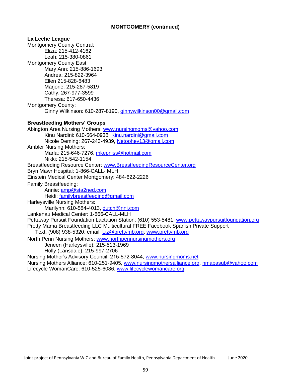## **MONTGOMERY (continued)**

**La Leche League** Montgomery County Central: Eliza: 215-412-4162 Leah: 215-380-0861 Montgomery County East: Mary Ann: 215-886-1693 Andrea: 215-822-3964 Ellen 215-828-6483 Marjorie: 215-287-5819 Cathy: 267-977-3599 Theresa: 617-650-4436 Montgomery County: Ginny Wilkinson: 610-287-8190, [ginnywilkinson00@gmail.com](mailto:ginnywilkinson00@gmail.com) **Breastfeeding Mothers' Groups** Abington Area Nursing Mothers: [www.nursingmoms@yahoo.com](mailto:www.nursingmoms@yahoo.com) Kinu Nardini: 610-564-0938, [Kinu.nardini@gmail.com](mailto:Kinu.nardini@gmail.com) Nicole Deming: 267-243-4939, [Netoohey13@gmail.com](mailto:Netoohey13@gmail.com) Ambler Nursing Mothers: Marla: 215-646-7276, [mkepniss@hotmail.com](mailto:mkepniss@hotmail.com) Nikki: 215-542-1154 Breastfeeding Resource Center: [www.BreastfeedingResourceCenter.org](http://www.breastfeedingresourcecenter.org/) Bryn Mawr Hospital: 1-866-CALL- MLH Einstein Medical Center Montgomery: 484-622-2226 Family Breastfeeding: Annie: [amp@sta2ned.com](mailto:amp@sta2ned.com) Heidi: [familybreastfeeding@gmail.com](mailto:familybreastfeeding@gmail.com) Harleysville Nursing Mothers: Marilynn: 610-584-4013, [dutch@nni.com](mailto:dutch@nni.com) Lankenau Medical Center: 1-866-CALL-MLH Pettaway Pursuit Foundation Lactation Station: (610) 553-5481, [www.pettawaypursuitfoundation.org](http://www.pettawaypursuitfoundation.org/) Pretty Mama Breastfeeding LLC Multicultural FREE Facebook Spanish Private Support Text: (908) 938-5320, email: [Liz@prettymb.org,](mailto:Liz@prettymb.org) [www.prettymb.org](http://www.prettymb.org/) North Penn Nursing Mothers: [www.northpennursingmothers.org](http://www.northpennursingmothers.org/) Jeneen (Harleysville): 215-513-1969 Holly (Lansdale): 215-997-2706 Nursing Mother's Advisory Council: 215-572-8044, [www.nursingmoms.net](http://www.nursingmoms.net/) Nursing Mothers Alliance: 610-251-9405, [www.nursingmothersalliance.org,](http://www.nursingmothersalliance.org/) [nmapasub@yahoo.com](mailto:nmapasub@yahoo.com) Lifecycle WomanCare: 610-525-6086, [www.lifecyclewomancare.org](http://www.lifecyclewomancare.org/)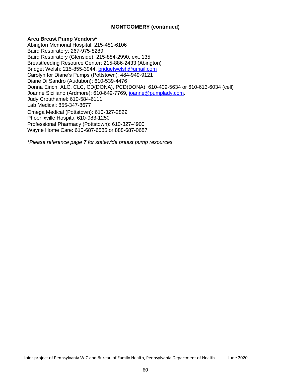## **MONTGOMERY (continued)**

## **Area Breast Pump Vendors\***

Abington Memorial Hospital: 215-481-6106 Baird Respiratory: 267-975-8289 Baird Respiratory (Glenside): 215-884-2990, ext. 135 Breastfeeding Resource Center: 215-886-2433 (Abington) Bridget Welsh: 215-855-3944, [bridgetwelsh@gmail.com](mailto:bridgetwelsh@gmail.com) Carolyn for Diane's Pumps (Pottstown): 484-949-9121 Diane Di Sandro (Audubon): 610-539-4476 Donna Eirich, ALC, CLC, CD(DONA), PCD(DONA): 610-409-5634 or 610-613-6034 (cell) Joanne Siciliano (Ardmore): 610-649-7769, [joanne@pumplady.com.](mailto:joanne@pumplady.com) Judy Crouthamel: 610-584-6111 Lab Medical: 855-347-8677 Omega Medical (Pottstown): 610-327-2829 Phoenixville Hospital 610-983-1250 Professional Pharmacy (Pottstown): 610-327-4900 Wayne Home Care: 610-687-6585 or 888-687-0687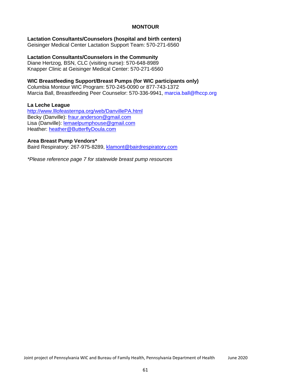## **MONTOUR**

# **Lactation Consultants/Counselors (hospital and birth centers)**

Geisinger Medical Center Lactation Support Team: 570-271-6560

## **Lactation Consultants/Counselors in the Community**

Diane Hertzog, BSN, CLC (visiting nurse): 570-648-8989 Knapper Clinic at Geisinger Medical Center: 570-271-6560

# **WIC Breastfeeding Support/Breast Pumps (for WIC participants only)**

Columbia Montour WIC Program: 570-245-0090 or 877-743-1372 Marcia Ball, Breastfeeding Peer Counselor: 570-336-9941, marcia.ball@fhccp.org

## **La Leche League**

<http://www.lllofeasternpa.org/web/DanvillePA.html> Becky (Danville): [fraur.anderson@gmail.com](mailto:fraur.anderson@gmail.com) Lisa (Danville): [lemaelpumphouse@gmail.com](mailto:lemaelpumphouse@gmail.com) Heather: [heather@ButterflyDoula.com](mailto:heather@ButterflyDoula.com)

## **Area Breast Pump Vendors\***

Baird Respiratory: 267-975-8289, [klamont@bairdrespiratory.com](mailto:klamont@bairdrespiratory.com)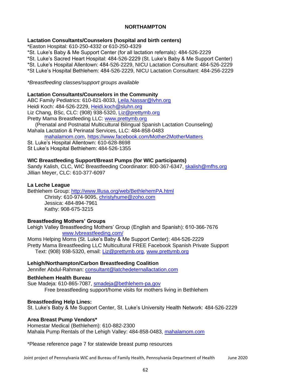## **NORTHAMPTON**

## **Lactation Consultants/Counselors (hospital and birth centers)**

\*Easton Hospital: 610-250-4332 or 610-250-4329

\*St. Luke's Baby & Me Support Center (for all lactation referrals): 484-526-2229

\*St. Luke's Sacred Heart Hospital: 484-526-2229 (St. Luke's Baby & Me Support Center)

\*St. Luke's Hospital Allentown: 484-526-2229, NICU Lactation Consultant: 484-526-2229

\*St Luke's Hospital Bethlehem: 484-526-2229, NICU Lactation Consultant: 484-256-2229

*\*Breastfeeding classes/support groups available*

## **Lactation Consultants/Counselors in the Community**

ABC Family Pediatrics: 610-821-8033, [Leila.Nassar@lvhn.org](mailto:Leila.Nassar@lvhn.org) Heidi Koch: 484-526-2229, [Heidi.koch@sluhn.org](mailto:Heidi.koch@sluhn.org) Liz Chang, BSc, CLC: (908) 938-5320, [Liz@prettymb.org](mailto:Liz@prettymb.org) Pretty Mama Breastfeeding LLC: [www.prettymb.org](http://www.prettymb.org/)

(Prenatal and Postnatal Multicultural Bilingual Spanish Lactation Counseling) Mahala Lactation & Perinatal Services, LLC: 484-858-0483

mahalamom.com, https:/[/www.facebook.com/Mother2MotherMatters](http://www.facebook.com/Mother2MotherMatters)

St. Luke's Hospital Allentown: 610-628-8698 St Luke's Hospital Bethlehem: 484-526-1355

## **WIC Breastfeeding Support/Breast Pumps (for WIC participants)**

Sandy Kalish, CLC, WIC Breastfeeding Coordinator: 800-367-6347, [skalish@mfhs.org](mailto:skalish@mfhs.org) Jillian Meyer, CLC: 610-377-6097

## **La Leche League**

Bethlehem Group:<http://www.lllusa.org/web/BethlehemPA.html> Christy: 610-974-9095, [christyhume@zoho.com](mailto:christyhume@zoho.com) Jessica: 484-894-7961 Kathy: 908-675-3215

## **Breastfeeding Mothers' Groups**

Lehigh Valley Breastfeeding Mothers' Group (English and Spanish): 610-366-7676 [www.lvbreastfeeding.com/](http://www.lvbreastfeeding.com/)

Moms Helping Moms (St. Luke's Baby & Me Support Center): 484-526-2229 Pretty Mama Breastfeeding LLC Multicultural FREE Facebook Spanish Private Support Text: (908) 938-5320, email: [Liz@prettymb.org,](mailto:Liz@prettymb.org) [www.prettymb.org](http://www.prettymb.org/)

## **Lehigh/Northampton/Carbon Breastfeeding Coalition**

Jennifer Abdul-Rahman: [consultant@latchedeternallactation.com](mailto:consultant@latchedeternallactation.com)

## **Bethlehem Health Bureau**

Sue Madeja: 610-865-7087, [smadeja@bethlehem-pa.gov](mailto:smadeja@bethlehem-pa.gov) Free breastfeeding support/home visits for mothers living in Bethlehem

### **Breastfeeding Help Lines:**

St. Luke's Baby & Me Support Center, St. Luke's University Health Network: 484-526-2229

## **Area Breast Pump Vendors\***

Homestar Medical (Bethlehem): 610-882-2300 Mahala Pump Rentals of the Lehigh Valley: 484-858-0483, mahalamom.com

\*Please reference page 7 for statewide breast pump resources

Joint project of Pennsylvania WIC and Bureau of Family Health, Pennsylvania Department of Health June 2020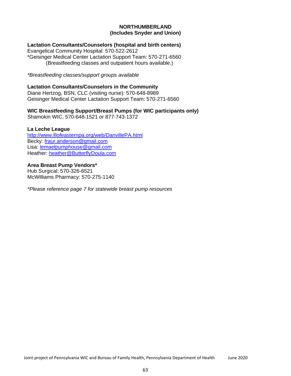## **NORTHUMBERLAND (Includes Snyder and Union)**

## **Lactation Consultants/Counselors (hospital and birth centers)**

Evangelical Community Hospital: 570-522-2612 \*Geisinger Medical Center Lactation Support Team: 570-271-6560 (Breastfeeding classes and outpatient hours available.)

*\*Breastfeeding classes/support groups available*

### **Lactation Consultants/Counselors in the Community**

Diane Hertzog, BSN, CLC (visiting nurse): 570-648-8989 Geisinger Medical Center Lactation Support Team: 570-271-6560

## **WIC Breastfeeding Support/Breast Pumps (for WIC participants only)**

Shamokin WIC, 570-648-1521 or 877-743-1372

## **La Leche League**

<http://www.lllofeasternpa.org/web/DanvillePA.html> Becky: [fraur.anderson@gmail.com](mailto:fraur.anderson@gmail.com) Lisa: [lemaelpumphouse@gmail.com](mailto:lemaelpumphouse@gmail.com) Heather: [heather@ButterflyDoula.com](mailto:heather@ButterflyDoula.com)

## **Area Breast Pump Vendors\***

Hub Surgical: 570-326-6521 McWilliams Pharmacy: 570-275-1140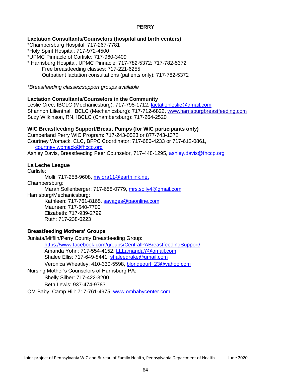## **PERRY**

## **Lactation Consultants/Counselors (hospital and birth centers)**

\*Chambersburg Hospital: 717-267-7781

\*Holy Spirit Hospital: 717-972-4500

\*UPMC Pinnacle of Carlisle: 717-960-3409

\* Harrisburg Hospital, UPMC Pinnacle: 717-782-5372: 717-782-5372

Free breastfeeding classes: 717-221-6255

Outpatient lactation consultations (patients only): 717-782-5372

*\*Breastfeeding classes/support groups available*

# **Lactation Consultants/Counselors in the Community**

Leslie Cree, IBCLC (Mechanicsburg): 717-795-1712, [lactationleslie@gmail.com](mailto:lactationleslie@gmail.com) Shannon Lilienthal, IBCLC (Mechanicsburg): 717-712-6822, [www.harrisburgbreastfeeding.com](http://www.harrisburgbreastfeeding.com/) Suzy Wilkinson, RN, IBCLC (Chambersburg): 717-264-2520

# **WIC Breastfeeding Support/Breast Pumps (for WIC participants only)**

Cumberland Perry WIC Program: 717-243-0523 or 877-743-1372 Courtney Womack, CLC, BFPC Coordinator: 717-686-4233 or 717-612-0861, [courtney.womack@fhccp.org](mailto:courtney.womack@fhccp.org) Ashley Davis, Breastfeeding Peer Counselor, 717-448-1295, ashley.davis@fhccp.org

## **La Leche League**

Carlisle: Molli: 717-258-9608, [mviora11@earthlink.net](mailto:mviora11@earthlink.net) Chambersburg: Marah Sollenberger: 717-658-0779, [mrs.solly4@gmail.com](mailto:mrs.solly4@gmail.com) Harrisburg/Mechanicsburg: Kathleen: 717-761-8165, [savages@paonline.com](mailto:savages@paonline.com) Maureen: 717-540-7700 Elizabeth: 717-939-2799 Ruth: 717-238-0223

# **Breastfeeding Mothers' Groups**

Juniata/Mifflin/Perry County Breastfeeding Group: https:/[/www.facebook.com/groups/CentralPABreastfeedingSupport/](http://www.facebook.com/groups/CentralPABreastfeedingSupport/) Amanda Yohn: 717-554-4152, [LLLamandaY@gmail.com](mailto:LLLamandaY@gmail.com) Shalee Ellis: 717-649-8441, [shaleedrake@gmail.com](mailto:shaleedrake@gmail.com) Veronica Wheatley: 410-330-5598, [blondegurl\\_23@yahoo.com](mailto:blondegurl_23@yahoo.com)

Nursing Mother's Counselors of Harrisburg PA: Shelly Silber: 717-422-3200

Beth Lewis: 937-474-9783

OM Baby, Camp Hill: 717-761-4975, [www.ombabycenter.com](http://www.ombabycenter.com/)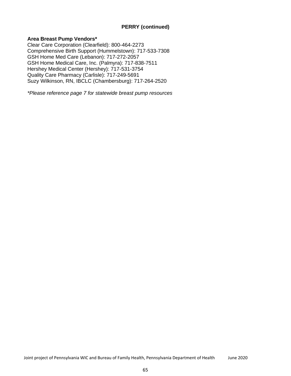# **PERRY (continued)**

## **Area Breast Pump Vendors\***

Clear Care Corporation (Clearfield): 800-464-2273 Comprehensive Birth Support (Hummelstown): 717-533-7308 GSH Home Med Care (Lebanon): 717-272-2057 GSH Home Medical Care, Inc. (Palmyra): 717-838-7511 Hershey Medical Center (Hershey): 717-531-3754 Quality Care Pharmacy (Carlisle): 717-249-5691 Suzy Wilkinson, RN, IBCLC (Chambersburg): 717-264-2520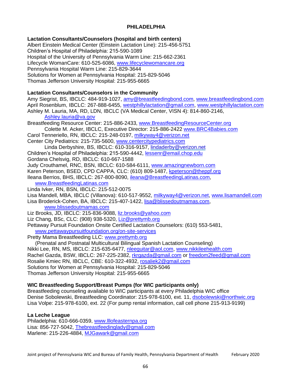## **PHILADELPHIA**

## **Lactation Consultants/Counselors (hospital and birth centers)**

Albert Einstein Medical Center (Einstein Lactation Line): 215-456-5751 Children's Hospital of Philadelphia: 215-590-1089 Hospital of the University of Pennsylvania Warm Line: 215-662-2361 Lifecycle WomanCare: 610-525-6086, [www.lifecyclewomancare.org](http://www.lifecyclewomancare.org/) Pennsylvania Hospital Warm Line: 215-829-3644 Solutions for Women at Pennsylvania Hospital: 215-829-5046 Thomas Jefferson University Hospital: 215-955-6665

## **Lactation Consultants/Counselors in the Community**

Amy Siegrist, BS, IBCLC: 484-919-1027, [amy@breastfeedingbond.com,](mailto:amy@breastfeedingbond.com) [www.breastfeedingbond.com](http://www.breastfeedingbond.com/) April Rosenblum, IBCLC: 267-888-6455, [westphillylactation@gmail.com,](mailto:westphillylactation@gmail.com) [www.westphillylactation.com](http://www.westphillylactation.com/) Ashley M. Lauria, MA, RD, LDN, IBCLC (VA Medical Center, VISN 4): 814-860-2146, [Ashley.lauria@va.gov](mailto:Ashley.lauria@va.gov)

Breastfeeding Resource Center: 215-886-2433, [www.BreastfeedingResourceCenter.org](http://www.breastfeedingresourcecenter.org/) Colette M. Acker, IBCLC, Executive Director: 215-886-2422 [www.BRC4Babies.com](http://www.brc4babies.com/) Carol Tenneriello, RN, IBCLC: 215-248-0197, [milkyway4@verizon.net](mailto:milkyway4@verizon.net) Center City Pediatrics: 215-735-5600, [www.centercitypediatrics.com](http://www.centercitypediatrics.com/) Linda Derbyshire, BS, IBCLC: 610-316-9157, [lindaderby@verizon.net](mailto:lindaderby@verizon.net) Children's Hospital of Philadelphia: 215-590-4442, [lessenr@email.chop.edu](mailto:lessenr@email.chop.edu) Gordana Chelsvig, RD, IBCLC: 610-667-1588 Judy Crouthamel, RNC, BSN, IBCLC: 610-584-6111, [www.amazingnewborn.com](http://www.amazingnewborn.com/) Karen Peterson, BSED, CPD CAPPA, CLC: (610) 809-1487, [kpeterson@theppf.org](mailto:kpeterson@theppf.org) Ileana Berrios, BHS, IBCLC: 267-800-8090, [ileana@BreastfeedingLatinas.com,](mailto:ileana@BreastfeedingLatinas.com) [www.BreastfeedingLatinas.com](http://www.breastfeedinglatinas.com/) Linda Ivker, RN, BSN, IBCLC: 215-512-0075 Lisa Mandell, MBA, IBCLC (Villanova): 610-517-9552, [milkyway4@verizon.net,](mailto:milkyway4@verizon.net) [www.lisamandell.com](http://www.lisamandell.com/) Lisa Broderick-Cohen, BA, IBCLC: 215-407-1422, [lisa@blissedoutmamas.com,](mailto:lisa@blissedoutmamas.com) [www.blissedoutmamas.com](http://www.blissedoutmamas.com/) Liz Brooks, JD, IBCLC: 215-836-9088, [liz.brooks@yahoo.com](mailto:liz.brooks@yahoo.com) Liz Chang, BSc, CLC: (908) 938-5320, [Liz@prettymb.org](mailto:Liz@prettymb.org)  Pettaway Pursuit Foundation Onsite Certified Lactation Counselors: (610) 553-5481, [www.pettawaypursuitfoundation.org/on-site-services](http://www.pettawaypursuitfoundation.org/on-site-services) Pretty Mama Breastfeeding LLC: [www.prettymb.org](http://www.prettymb.org/) (Prenatal and Postnatal Multicultural Bilingual Spanish Lactation Counseling) Nikki Lee, RN, MS, IBCLC: 215-635-6477, [nleeguitar@aol.com,](mailto:nleeguitar@aol.com) [www.nikkileehealth.com](http://www.nikkileehealth.com/) Rachel Gazda, BSW, IBCLC: 267-225-2382, [rkrgazda@gmail.com](mailto:rkrgazda@gmail.com) or [freedom2feed@gmail.com](mailto:freedom2feed@gmail.com) Rosalie Kmiec RN, IBCLC, CBE: 610-322-4932, [rosaliek2@gmail.com](mailto:rosaliek2@gmail.com) Solutions for Women at Pennsylvania Hospital: 215-829-5046

Thomas Jefferson University Hospital: 215-955-6665

## **WIC Breastfeeding Support/Breast Pumps (for WIC participants only)**

Breastfeeding counseling available to WIC participants at every Philadelphia WIC office Denise Sobolewski, Breastfeeding Coordinator: 215-978-6100, ext. 11, [dsobolewski@northwic.org](mailto:dsobolewski@northwic.org) Lisa Volpe: 215-978-6100, ext. 22 (For pump rental information, call cell phone 215-913-9199)

### **La Leche League**

Philadelphia: 610-666-0359, [www.lllofeasternpa.org](http://www.lllofeasternpa.org/) Lisa: 856-727-5042, [Thebreastfeedinglady@gmail.com](mailto:Thebreastfeedinglady@gmail.com) Marlene: 215-226-4884, [MJGawark@gmail.com](mailto:MJGawark@gmail.com)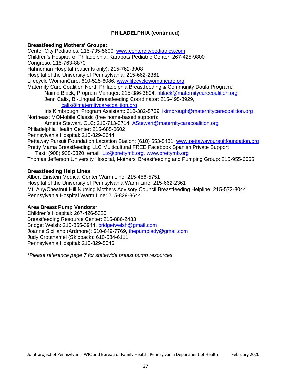# **PHILADELPHIA (continued)**

### **Breastfeeding Mothers' Groups:**

Center City Pediatrics: 215-735-5600, [www.centercitypediatrics.com](http://www.centercitypediatrics.com/) Children's Hospital of Philadelphia, Karabots Pediatric Center: 267-425-9800 Congreso: 215-763-8870 Hahneman Hospital (patients only): 215-762-3908 Hospital of the University of Pennsylvania: 215-662-2361 Lifecycle WomanCare: 610-525-6086, [www.lifecyclewomancare.org](http://www.lifecyclewomancare.org/) Maternity Care Coalition North Philadelphia Breastfeeding & Community Doula Program: Naima Black, Program Manager: 215-386-3804, [nblack@maternitycarecoalition.org](mailto:nblack@maternitycarecoalition.org) Jenn Calix, Bi-Lingual Breastfeeding Coordinator: 215-495-8929, [calix@maternitycarecoalition.org](mailto:calix@maternitycarecoalition.org) Iris Kimbrough, Program Assistant: 610-382-5739, [ikimbrough@maternitycarecoalition.org](mailto:ikimbrough@maternitycarecoalition.org) Northeast MOMobile Classic (free home-based support): Arnetta Stewart, CLC: 215-713-3714, [AStewart@maternitycarecoalition.org](mailto:AStewart@maternitycarecoalition.org) Philadelphia Health Center: 215-685-0602 Pennsylvania Hospital: 215-829-3644 Pettaway Pursuit Foundation Lactation Station: (610) 553-5481, [www.pettawaypursuitfoundation.org](http://www.pettawaypursuitfoundation.org/) Pretty Mama Breastfeeding LLC Multicultural FREE Facebook Spanish Private Support

Text: (908) 938-5320, email: [Liz@prettymb.org,](mailto:Liz@prettymb.org) [www.prettymb.org](http://www.prettymb.org/) Thomas Jefferson University Hospital, Mothers' Breastfeeding and Pumping Group: 215-955-6665

### **Breastfeeding Help Lines**

Albert Einstein Medical Center Warm Line: 215-456-5751 Hospital of the University of Pennsylvania Warm Line: 215-662-2361 Mt. Airy/Chestnut Hill Nursing Mothers Advisory Council Breastfeeding Helpline: 215-572-8044 Pennsylvania Hospital Warm Line: 215-829-3644

### **Area Breast Pump Vendors\***

Children's Hospital: 267-426-5325 Breastfeeding Resource Center: 215-886-2433 Bridget Welsh: 215-855-3944, [bridgetwelsh@gmail.com](mailto:bridgetwelsh@gmail.com) Joanne Siciliano (Ardmore): 610-649-7769, [thepumplady@gmail.com](mailto:thepumplady@gmail.com) Judy Crouthamel (Skippack): 610-584-6111 Pennsylvania Hospital: 215-829-5046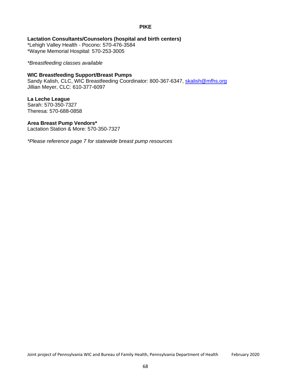## **PIKE**

**Lactation Consultants/Counselors (hospital and birth centers)** \*Lehigh Valley Health - Pocono: 570-476-3584

\*Wayne Memorial Hospital: 570-253-3005

## *\*Breastfeeding classes available*

## **WIC Breastfeeding Support/Breast Pumps**

Sandy Kalish, CLC, WIC Breastfeeding Coordinator: 800-367-6347, [skalish@mfhs.org](mailto:skalish@mfhs.org) Jillian Meyer, CLC: 610-377-6097

## **La Leche League**

Sarah: 570-350-7327 Theresa: 570-688-0858

## **Area Breast Pump Vendors\***

Lactation Station & More: 570-350-7327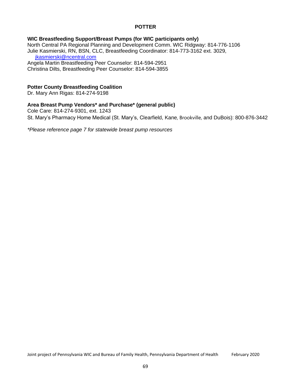## **POTTER**

## **WIC Breastfeeding Support/Breast Pumps (for WIC participants only)**

North Central PA Regional Planning and Development Comm. WIC Ridgway: 814-776-1106 Julie Kasmierski, RN, BSN, CLC, Breastfeeding Coordinator: 814-773-3162 ext. 3029, [jkasmierski@ncentral.com](mailto:jkasmierski@ncentral.com) Angela Martin Breastfeeding Peer Counselor: 814-594-2951

Christina Dilts, Breastfeeding Peer Counselor: 814-594-3855

### **Potter County Breastfeeding Coalition**

Dr. Mary Ann Rigas: 814-274-9198

## **Area Breast Pump Vendors\* and Purchase\* (general public)**

Cole Care: 814-274-9301, ext. 1243 St. Mary's Pharmacy Home Medical (St. Mary's, Clearfield, Kane, Brookville, and DuBois): 800-876-3442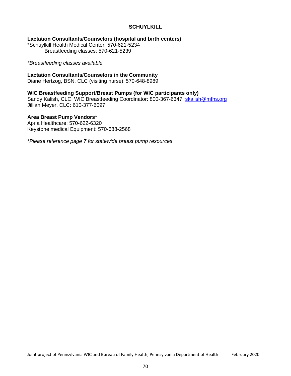## **SCHUYLKILL**

### **Lactation Consultants/Counselors (hospital and birth centers)**

\*Schuylkill Health Medical Center: 570-621-5234 Breastfeeding classes: 570-621-5239

#### *\*Breastfeeding classes available*

## **Lactation Consultants/Counselors in the Community**

Diane Hertzog, BSN, CLC (visiting nurse): 570-648-8989

## **WIC Breastfeeding Support/Breast Pumps (for WIC participants only)**

Sandy Kalish, CLC, WIC Breastfeeding Coordinator: 800-367-6347, [skalish@mfhs.org](mailto:skalish@mfhs.org) Jillian Meyer, CLC: 610-377-6097

## **Area Breast Pump Vendors\***

Apria Healthcare: 570-622-6320 Keystone medical Equipment: 570-688-2568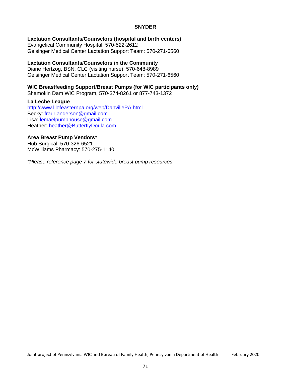### **SNYDER**

## **Lactation Consultants/Counselors (hospital and birth centers)**

Evangelical Community Hospital: 570-522-2612 Geisinger Medical Center Lactation Support Team: 570-271-6560

## **Lactation Consultants/Counselors in the Community**

Diane Hertzog, BSN, CLC (visiting nurse): 570-648-8989 Geisinger Medical Center Lactation Support Team: 570-271-6560

## **WIC Breastfeeding Support/Breast Pumps (for WIC participants only)**

Shamokin Dam WIC Program, 570-374-8261 or 877-743-1372

#### **La Leche League**

<http://www.lllofeasternpa.org/web/DanvillePA.html> Becky: [fraur.anderson@gmail.com](mailto:fraur.anderson@gmail.com) Lisa: [lemaelpumphouse@gmail.com](mailto:lemaelpumphouse@gmail.com) Heather: [heather@ButterflyDoula.com](mailto:heather@ButterflyDoula.com)

#### **Area Breast Pump Vendors\***

Hub Surgical: 570-326-6521 McWilliams Pharmacy: 570-275-1140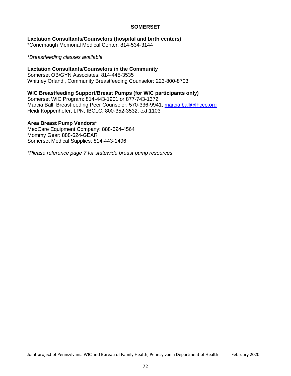## **SOMERSET**

## **Lactation Consultants/Counselors (hospital and birth centers)**

\*Conemaugh Memorial Medical Center: 814-534-3144

*\*Breastfeeding classes available*

### **Lactation Consultants/Counselors in the Community**

Somerset OB/GYN Associates: 814-445-3535 Whitney Orlandi, Community Breastfeeding Counselor: 223-800-8703

### **WIC Breastfeeding Support/Breast Pumps (for WIC participants only)**

Somerset WIC Program: 814-443-1901 or 877-743-1372 Marcia Ball, Breastfeeding Peer Counselor: 570-336-9941, [marcia.ball@fhccp.org](mailto:marcia.ball@fhccp.org) Heidi Koppenhofer, LPN, IBCLC: 800-352-3532, ext.1103

#### **Area Breast Pump Vendors\***

MedCare Equipment Company: 888-694-4564 Mommy Gear: 888-624-GEAR Somerset Medical Supplies: 814-443-1496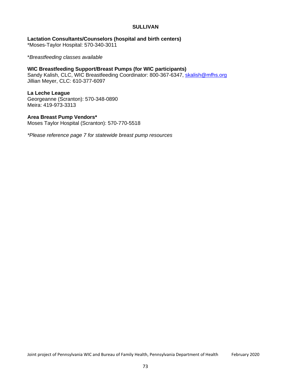#### **SULLIVAN**

**Lactation Consultants/Counselors (hospital and birth centers)** \*Moses-Taylor Hospital: 570-340-3011

\**Breastfeeding classes available*

**WIC Breastfeeding Support/Breast Pumps (for WIC participants)** Sandy Kalish, CLC, WIC Breastfeeding Coordinator: 800-367-6347, [skalish@mfhs.org](mailto:skalish@mfhs.org) Jillian Meyer, CLC: 610-377-6097

### **La Leche League**

Georgeanne (Scranton): 570-348-0890 Meira: 419-973-3313

#### **Area Breast Pump Vendors\***

Moses Taylor Hospital (Scranton): 570-770-5518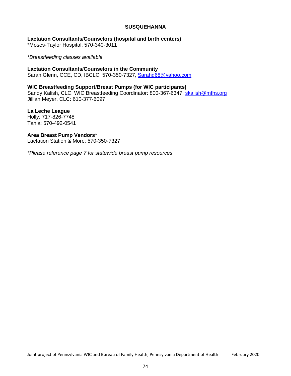#### **SUSQUEHANNA**

# **Lactation Consultants/Counselors (hospital and birth centers)**

\*Moses-Taylor Hospital: 570-340-3011

*\*Breastfeeding classes available*

**Lactation Consultants/Counselors in the Community** Sarah Glenn, CCE, CD, IBCLC: 570-350-7327, [Sarahg68@yahoo.com](mailto:Sarahg68@yahoo.com)

### **WIC Breastfeeding Support/Breast Pumps (for WIC participants)**

Sandy Kalish, CLC, WIC Breastfeeding Coordinator: 800-367-6347, [skalish@mfhs.org](mailto:skalish@mfhs.org) Jillian Meyer, CLC: 610-377-6097

**La Leche League** Holly: 717-826-7748 Tania: 570-492-0541

**Area Breast Pump Vendors\*** Lactation Station & More: 570-350-7327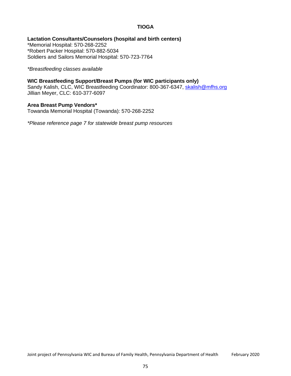## **TIOGA**

### **Lactation Consultants/Counselors (hospital and birth centers)**

\*Memorial Hospital: 570-268-2252 \*Robert Packer Hospital: 570-882-5034 Soldiers and Sailors Memorial Hospital: 570-723-7764

*\*Breastfeeding classes available*

## **WIC Breastfeeding Support/Breast Pumps (for WIC participants only)**

Sandy Kalish, CLC, WIC Breastfeeding Coordinator: 800-367-6347, [skalish@mfhs.org](mailto:skalish@mfhs.org) Jillian Meyer, CLC: 610-377-6097

## **Area Breast Pump Vendors\***

Towanda Memorial Hospital (Towanda): 570-268-2252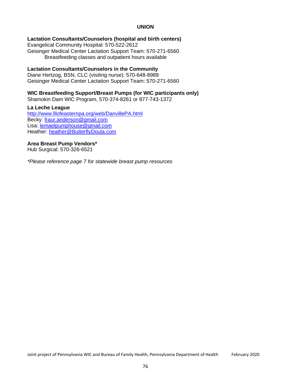## **UNION**

### **Lactation Consultants/Counselors (hospital and birth centers)**

Evangelical Community Hospital: 570-522-2612 Geisinger Medical Center Lactation Support Team: 570-271-6560 Breastfeeding classes and outpatient hours available

#### **Lactation Consultants/Counselors in the Community**

Diane Hertzog, BSN, CLC (visiting nurse): 570-648-8989 Geisinger Medical Center Lactation Support Team: 570-271-6560

#### **WIC Breastfeeding Support/Breast Pumps (for WIC participants only)**

Shamokin Dam WIC Program, 570-374-8261 or 877-743-1372

#### **La Leche League**

<http://www.lllofeasternpa.org/web/DanvillePA.html> Becky: [fraur.anderson@gmail.com](mailto:fraur.anderson@gmail.com) Lisa: [lemaelpumphouse@gmail.com](mailto:lemaelpumphouse@gmail.com) Heather: [heather@ButterflyDoula.com](mailto:heather@ButterflyDoula.com)

#### **Area Breast Pump Vendors\***

Hub Surgical: 570-326-6521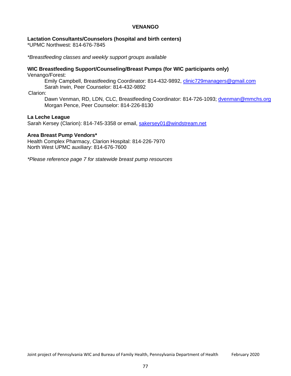## **VENANGO**

#### **Lactation Consultants/Counselors (hospital and birth centers)**

\*UPMC Northwest: 814-676-7845

*\*Breastfeeding classes and weekly support groups available*

# **WIC Breastfeeding Support/Counseling/Breast Pumps (for WIC participants only)**

Venango/Forest:

Emily Campbell, Breastfeeding Coordinator: 814-432-9892, [clinic729managers@gmail.com](mailto:clinic729managers@gmail.com) Sarah Irwin, Peer Counselor: 814-432-9892

Clarion:

Dawn Venman, RD, LDN, CLC, Breastfeeding Coordinator: 814-726-1093; [dvenman@mmchs.org](mailto:dvenman@mmchs.org) Morgan Pence, Peer Counselor: 814-226-8130

#### **La Leche League**

Sarah Kersey (Clarion): 814-745-3358 or email, [sakersey01@windstream.net](mailto:sakersey01@windstream.net)

#### **Area Breast Pump Vendors\***

Health Complex Pharmacy, Clarion Hospital: 814-226-7970 North West UPMC auxiliary: 814-676-7600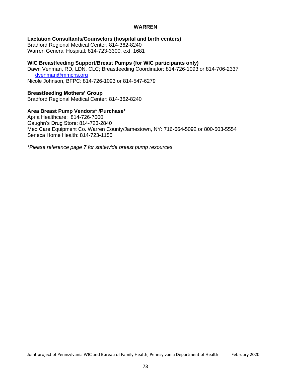#### **WARREN**

## **Lactation Consultants/Counselors (hospital and birth centers)**

Bradford Regional Medical Center: 814-362-8240 Warren General Hospital: 814-723-3300, ext. 1681

## **WIC Breastfeeding Support/Breast Pumps (for WIC participants only)**

Dawn Venman, RD, LDN, CLC; Breastfeeding Coordinator: 814-726-1093 or 814-706-2337, [dvenman@mmchs.org](mailto:dvenman@mmchs.org) Nicole Johnson, BFPC: 814-726-1093 or 814-547-6279

### **Breastfeeding Mothers' Group**

Bradford Regional Medical Center: 814-362-8240

#### **Area Breast Pump Vendors\* /Purchase\***

Apria Healthcare: 814-726-7000 Gaughn's Drug Store: 814-723-2840 Med Care Equipment Co. Warren County/Jamestown, NY: 716-664-5092 or 800-503-5554 Seneca Home Health: 814-723-1155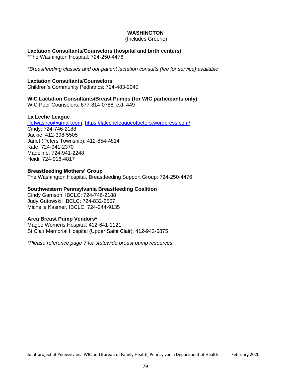## **WASHINGTON**

(Includes Greene)

## **Lactation Consultants/Counselors (hospital and birth centers)**

\*The Washington Hospital: 724-250-4476

*\*Breastfeeding classes and out-patient lactation consults (fee for service) available*

### **Lactation Consultants/Counselors**

Children's Community Pediatrics: 724-483-2040

## **WIC Lactation Consultants/Breast Pumps (for WIC participants only)**

WIC Peer Counselors: 877-814-0788, ext. 449

## **La Leche League**

[lllofwashco@gmail.com, h](mailto:lllofwashco@gmail.com)ttps://lalecheleagueofpeters.wordpress.com/ Cindy: 724-746-2188 Jackie: 412-398-5505 Janet (Peters Township): 412-854-4814 Kate: 724-941-2370 Madeline: 724-941-2248 Heidi: 724-916-4817

#### **Breastfeeding Mothers' Group**

The Washington Hospital, Breastfeeding Support Group: 724-250-4476

# **Southwestern Pennsylvania Breastfeeding Coalition**

Cindy Garrison, IBCLC: 724-746-2188 Judy Gutowski, IBCLC: 724-832-2507 Michelle Kasmer, IBCLC: 724-244-9135

## **Area Breast Pump Vendors\***

Magee Womens Hospital: 412-641-1121 St Clair Memorial Hospital (Upper Saint Clair): 412-942-5875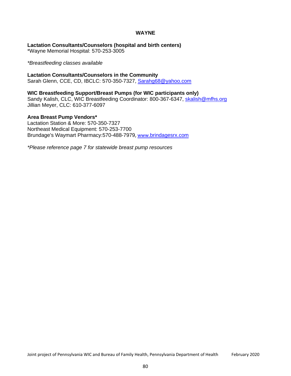## **WAYNE**

**Lactation Consultants/Counselors (hospital and birth centers)**

\*Wayne Memorial Hospital: 570-253-3005

*\*Breastfeeding classes available*

#### **Lactation Consultants/Counselors in the Community**

Sarah Glenn, CCE, CD, IBCLC: 570-350-7327, [Sarahg68@yahoo.com](mailto:Sarahg68@yahoo.com)

## **WIC Breastfeeding Support/Breast Pumps (for WIC participants only)**

Sandy Kalish, CLC, WIC Breastfeeding Coordinator: 800-367-6347, [skalish@mfhs.org](mailto:skalish@mfhs.org) Jillian Meyer, CLC: 610-377-6097

#### **Area Breast Pump Vendors\***

Lactation Station & More: 570-350-7327 Northeast Medical Equipment: 570-253-7700 Brundage's Waymart Pharmacy:570-488-7979, www.[brindagesrx.com](http://www.brindagesrx.com/)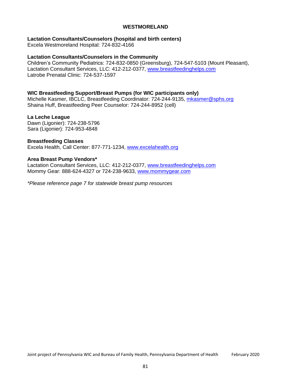### **WESTMORELAND**

#### **Lactation Consultants/Counselors (hospital and birth centers)**

Excela Westmoreland Hospital: 724-832-4166

#### **Lactation Consultants/Counselors in the Community**

Children's Community Pediatrics: 724-832-0850 (Greensburg), 724-547-5103 (Mount Pleasant), Lactation Consultant Services, LLC: 412-212-0377, [www.breastfeedinghelps.com](http://www.breastfeedinghelps.com/) Latrobe Prenatal Clinic: 724-537-1597

## **WIC Breastfeeding Support/Breast Pumps (for WIC participants only)**

Michelle Kasmer, IBCLC, Breastfeeding Coordinator: 724-244-9135, [mkasmer@sphs.org](mailto:mkasmer@sphs.org) Shaina Huff, Breastfeeding Peer Counselor: 724-244-8952 (cell)

#### **La Leche League**

Dawn (Ligonier): 724-238-5796 Sara (Ligonier): 724-953-4848

#### **Breastfeeding Classes**

Excela Health, Call Center: 877-771-1234, [www.excelahealth.org](http://www.excelahealth.org/)

#### **Area Breast Pump Vendors\***

Lactation Consultant Services, LLC: 412-212-0377, [www.breastfeedinghelps.com](http://www.breastfeedinghelps.com/) Mommy Gear: 888-624-4327 or 724-238-9633, [www.mommygear.com](http://www.mommygear.com/)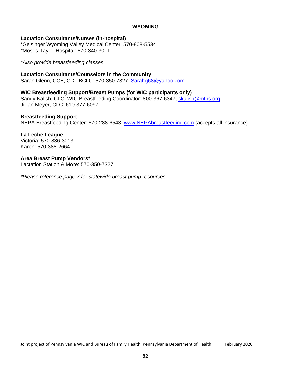#### **WYOMING**

#### **Lactation Consultants/Nurses (in-hospital)**

\*Geisinger Wyoming Valley Medical Center: 570-808-5534 \*Moses-Taylor Hospital: 570-340-3011

### *\*Also provide breastfeeding classes*

## **Lactation Consultants/Counselors in the Community**

Sarah Glenn, CCE, CD, IBCLC: 570-350-7327, [Sarahg68@yahoo.com](mailto:Sarahg68@yahoo.com)

## **WIC Breastfeeding Support/Breast Pumps (for WIC participants only)**

Sandy Kalish, CLC, WIC Breastfeeding Coordinator: 800-367-6347, [skalish@mfhs.org](mailto:skalish@mfhs.org) Jillian Meyer, CLC: 610-377-6097

#### **Breastfeeding Support**

NEPA Breastfeeding Center: 570-288-6543, [www.NEPAbreastfeeding.com](http://www.nepabreastfeeding.com/) (accepts all insurance)

#### **La Leche League**

Victoria: 570-836-3013 Karen: 570-388-2664

#### **Area Breast Pump Vendors\***

Lactation Station & More: 570-350-7327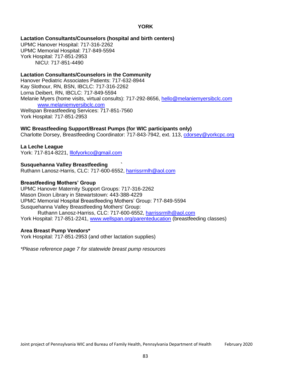## **YORK**

## **Lactation Consultants/Counselors (hospital and birth centers)**

UPMC Hanover Hospital: 717-316-2262 UPMC Memorial Hospital: 717-849-5594 York Hospital: 717-851-2953 NICU: 717-851-4490

### **Lactation Consultants/Counselors in the Community**

Hanover Pediatric Associates Patients: 717-632-8944 Kay Slothour, RN, BSN, IBCLC: 717-316-2262 Lorna Deibert, RN, IBCLC: 717-849-5594 Melanie Myers (home visits, virtual consults): 717-292-8656, [hello@melaniemyersibclc.com](mailto:hello@melaniemyersibclc.com) [www.melaniemyersibclc.com](http://www.melaniemyersibclc.com/) Wellspan Breastfeeding Services: 717-851-7560

York Hospital: 717-851-2953

## **WIC Breastfeeding Support/Breast Pumps (for WIC participants only)**

Charlotte Dorsey, Breastfeeding Coordinator: 717-843-7942, ext. 113, [cdorsey@yorkcpc.org](mailto:cdorsey@yorkcpc.org)

#### **La Leche League**

York: 717-814-8221, [lllofyorkco@gmail.com](mailto:lllofyorkco@gmail.com)

#### **Susquehanna Valley Breastfeeding `**

Ruthann Lanosz-Harris, CLC: 717-600-6552, [harrissrmlh@aol.com](mailto:harrissrmlh@aol.com)

#### **Breastfeeding Mothers' Group**

UPMC Hanover Maternity Support Groups: 717-316-2262 Mason Dixon Library in Stewartstown: 443-388-4229 UPMC Memorial Hospital Breastfeeding Mothers' Group: 717-849-5594 Susquehanna Valley Breastfeeding Mothers' Group: Ruthann Lanosz-Harriss, CLC: 717-600-6552, [harrissrmlh@aol.com](mailto:harrissrmlh@aol.com) York Hospital: 717-851-2241, [www.wellspan.org/parenteducation](http://www.wellspan.org/parenteducation) (breastfeeding classes)

#### **Area Breast Pump Vendors\***

York Hospital: 717-851-2953 (and other lactation supplies)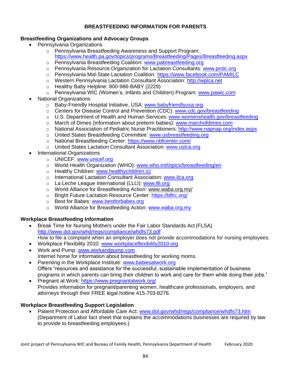# **BREASTFEEDING INFORMATION FOR PARENTS**

## **Breastfeeding Organizations and Advocacy Groups**

- Pennsylvania Organizations
	- o Pennsylvania Breastfeeding Awareness and Support Program: https:/[/www.health.pa.gov/topics/programs/Breastfeeding/Pages/Breastfeeding.aspx](http://www.health.pa.gov/topics/programs/Breastfeeding/Pages/Breastfeeding.aspx)
	- o Pennsylvania Breastfeeding Coalition: [www.pabreastfeeding.org](http://www.pabreastfeeding.org/)
	- o Pennsylvania Resource Organization for Lactation Consultants: [www.prolc.org](http://www.prolc.org/)
	- o Pennsylvania Mid-State Lactation Coalition: https:/[/www.facebook.com/PAMILC](http://www.facebook.com/PAMILC)
	- o Western Pennsylvania Lactation Consultant Association: [http://wplca.net](http://wplca.net/)
	- o Healthy Baby Helpline: 800-986-BABY (2229)
	- o Pennsylvania WIC (Women's, Infants and Children) Program: [www.pawic.com](http://www.pawic.com/)
- National Organizations
	- o Baby-Friendly Hospital Initiative, USA: [www.babyfriendlyusa.org](http://www.babyfriendlyusa.org/)
	- o Centers for Disease Control and Prevention (CDC): [www.cdc.gov/breastfeeding](http://www.cdc.gov/breastfeeding)
	- o U.S. Department of Health and Human Services: [www.womenshealth.gov/breastfeeding](http://www.womenshealth.gov/breastfeeding)
	- o March of Dimes (information about preterm babies): [www.marchofdimes.com](http://www.marchofdimes.com/)
	- o National Association of Pediatric Nurse Practitioners: <http://www.napnap.org/index.aspx>
	- o United States Breastfeeding Committee: [www.usbreastfeeding.org](http://www.usbreastfeeding.org/)
	- o National Breastfeeding Center: https:/[/www.nbfcenter.com/](http://www.nbfcenter.com/)
	- o United States Lactation Consultant Association: [www.uslca.org](http://www.uslca.org/)
- International Organizations
	- o UNICEF: [www.unicef.org](http://www.unicef.org/)
	- o World Health Organization (WHO): [www.who.int/topics/breastfeeding/en](http://www.who.int/topics/breastfeeding/en)
	- o Healthy Children: [www.healthychildren.cc](http://www.healthychildren.cc/)
	- o International Lactation Consultant Association: [www.ilca.org](http://www.ilca.org/)
	- o La Leche League International (LLLI): [www.llli.org](http://www.llli.org/)
	- o World Alliance for Breastfeeding Action: [www.waba.org.my/](http://www.waba.org.my/)
	- o Bright Future Lactation Resource Center: https://bflrc.org/
	- o Best for Babes: [www.bestforbabes.org](http://www.bestforbabes.org/)
	- o World Alliance for Breastfeeding Action: [www.waba.org.my](http://www.waba.org.my/)

# **Workplace Breastfeeding Information**

- Break Time for Nursing Mothers under the Fair Labor Standards Act (FLSA) <http://www.dol.gov/whd/regs/compliance/whdfs73.pdf> How to file a complaint when an employer does not provide accommodations for nursing employees.
- Workplace Flexibility 2010: [www.workplaceflexibility2010.org](http://www.workplaceflexibility2010.org/)
- Work and Pump: [www.workandpump.com](http://www.workandpump.com/) Internet home for information about breastfeeding for working moms.
- Parenting in the Workplace Institute: [www.babiesatwork.org](http://www.babiesatwork.org/) Offers "resources and assistance for the successful, sustainable implementation of business programs in which parents can bring their children to work and care for them while doing their jobs."
- Pregnant at Work: https:/[/www.pregnantatwork.org/](http://www.pregnantatwork.org/) Provides information for pregnant/parenting women, healthcare professionals, employers, and attorneys through their FREE legal hotline 415-703-8276.

# **Workplace Breastfeeding Support Legislation**

• Patient Protection and Affordable Care Act**:** [www.dol.gov/whd/regs/compliance/whdfs73.htm](http://www.dol.gov/whd/regs/compliance/whdfs73.htm) (Department of Labor fact sheet that explains the accommodations businesses are required by law to provide to breastfeeding employees.)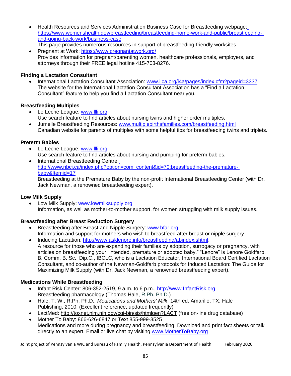- Health Resources and Services Administration Business Case for Breastfeeding webpage: https:/[/www.womenshealth.gov/breastfeeding/breastfeeding-home-work-and-public/breastfeeding](http://www.womenshealth.gov/breastfeeding/breastfeeding-home-work-and-public/breastfeeding-)and-going-back-work/business-case This page provides numerous resources in support of breastfeeding-friendly worksites.
- Pregnant at Work: https:/[/www.pregnantatwork.org/](http://www.pregnantatwork.org/) Provides information for pregnant/parenting women, healthcare professionals, employers, and attorneys through their FREE legal hotline 415-703-8276.

# **Finding a Lactation Consultant**

• International Lactation Consultant Association: [www.ilca.org/i4a/pages/index.cfm?pageid=3337](http://www.ilca.org/i4a/pages/index.cfm?pageid=3337) The website for the International Lactation Consultant Association has a "Find a Lactation Consultant" feature to help you find a Lactation Consultant near you.

# **Breastfeeding Multiples**

- Le Leche League: [www.llli.org](http://www.llli.org/) Use search feature to find articles about nursing twins and higher order multiples.
- Jumelle Breastfeeding Resources: [www.multiplebirthsfamilies.com/breastfeeding.html](http://www.multiplebirthsfamilies.com/breastfeeding.html) Canadian website for parents of multiples with some helpful tips for breastfeeding twins and triplets.

# **Preterm Babies**

- Le Leche League: [www.llli.org](http://www.llli.org/) Use search feature to find articles about nursing and pumping for preterm babies.
- International Breastfeeding Centre: [http://www.nbci.ca/index.php?option=com\\_content&id=70:breastfeeding-the-premature](http://www.nbci.ca/index.php?option=com_content&id=70%3Abreastfeeding-the-premature-)baby&Itemid=17 Breastfeeding at the Premature Baby by the non-profit International Breastfeeding Center (with Dr. Jack Newman, a renowned breastfeeding expert).

# **Low Milk Supply**

• Low Milk Supply: [www.lowmilksupply.org](http://www.lowmilksupply.org/) Information, as well as mother-to-mother support, for women struggling with milk supply issues.

# **Breastfeeding after Breast Reduction Surgery**

- Breastfeeding after Breast and Nipple Surgery: [www.bfar.org](http://www.bfar.org/) Information and support for mothers who wish to breastfeed after breast or nipple surgery.
- Inducing Lactation: [http://www.asklenore.info/breastfeeding/abindex.shtml:](http://www.asklenore.info/breastfeeding/abindex.shtml) A resource for those who are expanding their families by adoption, surrogacy or pregnancy, with articles on breastfeeding your "intended, premature or adopted baby." "Lenore" is Lenore Goldfarb, B. Comm, B. Sc., Dip.C., IBCLC, who is a Lactation Educator, International Board Certified Lactation Consultant, and co-author of the Newman-Goldfarb protocols for Induced Lactation: The Guide for Maximizing Milk Supply (with Dr. Jack Newman, a renowned breastfeeding expert).

# **Medications While Breastfeeding**

- Infant Risk Center: 806-352-2519, 9 a.m. to 6 p.m., [http://www.InfantRisk.org](http://www.infantrisk.org/) Breastfeeding pharmacology (Thomas Hale, R.Ph. Ph.D.)
- Hale, T. W., R.Ph, Ph.D., *Medications and Mothers' Milk*. 14th ed. Amarillo, TX: Hale Publishing, 2010. (Excellent reference, updated frequently)
- LactMed:<http://toxnet.nlm.nih.gov/cgi-bin/sis/htmlgen?LACT> (free on-line drug database)
- Mother To Baby: 866-626-6847 or Text 855-999-3525 Medications and more during pregnancy and breastfeeding. Download and print fact sheets or talk directly to an expert. Email or live chat by visiting [www.MotherToBaby.org](http://www.mothertobaby.org/)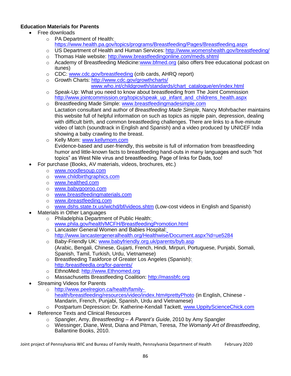# **Education Materials for Parents**

- Free downloads
	- o PA Department of Health: https:/[/www.health.pa.gov/topics/programs/Breastfeeding/Pages/Breastfeeding.aspx](http://www.health.pa.gov/topics/programs/Breastfeeding/Pages/Breastfeeding.aspx)
	- o US Department of Health and Human Services: <http://www.womenshealth.gov/breastfeeding/>
	- o Thomas Hale website: <http://www.breastfeedingonline.com/meds.shtml>
	- o Academy of Breastfeeding Medicine[:www.bfmed.org](http://www.bfmed.org/) (also offers free educational podcast on itunes)
	- o CDC: [www.cdc.gov/breastfeeding](http://www.cdc.gov/breastfeeding) (crib cards, AHRQ report)
	- o Growth Charts: <http://www.cdc.gov/growthcharts/>
		- [www.who.int/childgrowth/standards/chart\\_catalogue/en/index.html](http://www.who.int/childgrowth/standards/chart_catalogue/en/index.html)
	- $\circ$  Speak-Up: What you need to know about breastfeeding from The Joint Commission [http://www.jointcommission.org/topics/speak\\_up\\_infant\\_and\\_childrens\\_health.aspx](http://www.jointcommission.org/topics/speak_up_infant_and_childrens_health.aspx)
	- o Breastfeeding Made Simple: [www.breastfeedingmadesimple.com](http://www.breastfeedingmadesimple.com/) Lactation consultant and author of *Breastfeeding Made Simple*, Nancy Mohrbacher maintains this website full of helpful information on such as topics as nipple pain, depression, dealing with difficult birth, and common breastfeeding challenges. There are links to a five-minute video of latch (soundtrack in English and Spanish) and a video produced by UNICEF India showing a baby crawling to the breast.
	- o Kelly Mom: [www.kellymom.com](http://www.kellymom.com/) Evidence-based and user-friendly, this website is full of information from breastfeeding humor and little-known facts to breastfeeding hand-outs in many languages and such "hot topics" as West Nile virus and breastfeeding. Page of links for Dads, too!
	- For purchase (Books, AV materials, videos, brochures, etc.)
		- o [www.noodlesoup.com](http://www.noodlesoup.com/)
		- o [www.childbirthgraphics.com](http://www.childbirthgraphics.com/)
		- o [www.healthed.com](http://www.healthed.com/)
		- o [www.babygooroo.com](http://www.babygooroo.com/)
		- o [www.breastfeedingmaterials.com](http://www.breastfeedingmaterials.com/)
		- o [www.ibreastfeeding.com](http://www.ibreastfeeding.com/)
		- o [www.dshs.state.tx.us/wichd/bf/videos.shtm](http://www.dshs.state.tx.us/wichd/bf/videos.shtm) (Low-cost videos in English and Spanish)
- Materials in Other Languages
	- o Philadelphia Department of Public Health[:](http://www.phila.gov/health/MCFH/BreastfeedingPromotion.html) [www.phila.gov/health/MCFH/BreastfeedingPromotion.html](http://www.phila.gov/health/MCFH/BreastfeedingPromotion.html)
	- o Lancaster General Women and Babies Hospital: <http://www.lancastergeneralhealth.org/Healthwise/Document.aspx?id=ue5284>
	- o Baby-Friendly UK: [www.babyfriendly.org.uk/parents/byb.asp](http://www.babyfriendly.org.uk/parents/byb.asp) (Arabic, Bengali, Chinese, Gujarti, French, Hindi, Mirpuri, Portuguese, Punjabi, Somali, Spanish, Tamil, Turkish, Urdu, Vietnamese)
	- o Breastfeeding Taskforce of Greater Los Angeles (Spanish): http:/breastfeedla.org/for-parents/
	- o EthnoMed: [http://www.Ethnomed.org](http://www.ethnomed.org/)
	- o Massachusetts Breastfeeding Coalition: [http://massbfc.org](http://massbfc.org/)
- **Streaming Videos for Parents** 
	- o [http://www.peelregion.ca/health/family](http://www.peelregion.ca/health/family-)health/breastfeeding/resources/video/index.htm#prettyPhoto (in English, Chinese - Mandarin, French, Punjabi, Spanish, Urdu and Vietnamese)
	- o Postpartum Depression: Dr. Katherine-Kendall Tackett, [www.UppityScienceChick.com](http://www.uppitysciencechick.com/)
- Reference Texts and Clinical Resources
	- o Spangler, Amy, *Breastfeeding – A Parent's Guide*, 2010 by Amy Spangler
	- o Wiessinger, Diane, West, Diana and Pitman, Teresa, *The Womanly Art of Breastfeeding*, Ballantine Books, 2010.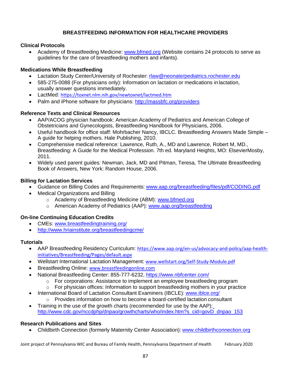# **BREASTFEEDING INFORMATION FOR HEALTHCARE PROVIDERS**

## **Clinical Protocols**

• Academy of Breastfeeding Medicine: www.bfmed.org (Website contains 24 protocols to serve as guidelines for the care of breastfeeding mothers and infants).

# **Medications While Breastfeeding**

- Lactation Study Center/University of Rochester: rlaw@neonate/pediatrics.rochester.edu
- 585-275-0088 (For physicians only): Information on lactation or medications in lactation, usually answer questions immediately.
- LactMed: https://toxnet.nlm.nih.gov/newtoxnet/lactmed.htm
- Palm and iPhone software for physicians: <http://massbfc.org/providers>

# **Reference Texts and Clinical Resources**

- AAP/ACOG physician handbook: American Academy of Pediatrics and American College of Obstetricians and Gynecologists, Breastfeeding Handbook for Physicians, 2006.
- Useful handbook for office staff: Mohrbacher Nancy, IBCLC. Breastfeeding Answers Made Simple A guide for helping mothers. Hale Publishing, 2010.
- Comprehensive medical reference: Lawrence, Ruth, A., MD and Lawrence, Robert M, MD., Breastfeeding: A Guide for the Medical Profession. 7th ed. Maryland Heights, MO: ElsevierMosby, 2011.
- Widely used parent guides: Newman, Jack, MD and Pitman, Teresa, The Ultimate Breastfeeding Book of Answers, New York: Random House, 2006.

## **Billing for Lactation Services**

- Guidance on Billing Codes and Requirements: [www.aap.org/breastfeeding/files/pdf/CODING.pdf](http://www.aap.org/breastfeeding/files/pdf/CODING.pdf)
- Medical Organizations and Billing
	- o Academy of Breastfeeding Medicine (ABM): [www.bfmed.org](http://www.bfmed.org/)
	- o American Academy of Pediatrics (AAP): [www.aap.org/breastfeeding](http://www.aap.org/breastfeeding)

# **On-line Continuing Education Credits**

- CMEs: [www.breastfeedingtraining.org/](http://www.breastfeedingtraining.org/)
- <http://www.hriainstitute.org/breastfeedingcme/>

## **Tutorials**

- AAP Breastfeeding Residency Curriculum: https:/[/www.aap.org/en-us/advocacy-and-policy/aap-health](http://www.aap.org/en-us/advocacy-and-policy/aap-health-)initiatives/Breastfeeding/Pages/default.aspx
- Wellstart International Lactation Management: [www.wellstart.org/Self-Study-Module.pdf](http://www.wellstart.org/Self-Study-Module.pdf)
- Breastfeeding Online: [www.breastfeedingonline.com](http://www.breastfeedingonline.com/)
- National Breastfeeding Center: 855-777-6232, https:/[/www.nbfcenter.com/](http://www.nbfcenter.com/)
	- o For corporations: Assistance to implement an employee breastfeeding program
	- $\circ$  For physician offices: Information to support breastfeeding mothers in your practice
- International Board of Lactation Consultant Examiners (IBCLE): [www.iblce.org/](http://www.iblce.org/)
	- o Provides information on how to become a board-certified lactation consultant
- Training in the use of the growth charts (recommended for use by the AAP): [http://www.cdc.gov/nccdphp/dnpao/growthcharts/who/index.htm?s\\_cid=govD\\_dnpao\\_153](http://www.cdc.gov/nccdphp/dnpao/growthcharts/who/index.htm?s_cid=govD_dnpao_153)

# **Research Publications and Sites**

• Childbirth Connection (formerly Maternity Center Association): [www.childbirthconnection.org](http://www.childbirthconnection.org/)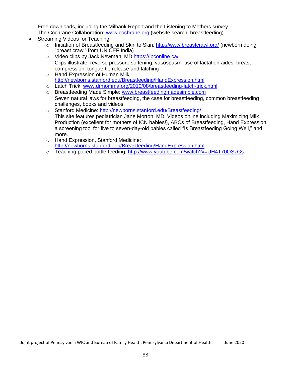Free downloads, including the Milbank Report and the Listening to Mothers survey The Cochrane Collaboration: [www.cochrane.org](http://www.cochrane.org/) (website search: breastfeeding)

- Streaming Videos for Teaching
	- o Initiation of Breastfeeding and Skin to Skin: <http://www.breastcrawl.org/> (newborn doing "breast crawl" from UNICEF India)
	- o Video clips by Jack Newman, MD https://ibconline.ca/ Clips illustrate: reverse pressure softening, vasospasm, use of lactation aides, breast compression, tongue-tie release and latching
	- o Hand Expression of Human Milk: <http://newborns.stanford.edu/Breastfeeding/HandExpression.html>
	- o Latch Trick: [www.drmomma.org/2010/08/breastfeeding-latch-trick.html](http://www.drmomma.org/2010/08/breastfeeding-latch-trick.html)
	- o Breastfeeding Made Simple: [www.breastfeedingmadesimple.com](http://www.breastfeedingmadesimple.com/) Seven natural laws for breastfeeding, the case for breastfeeding, common breastfeeding challenges, books and videos.
	- o Stanford Medicine: <http://newborns.stanford.edu/Breastfeeding/> This site features pediatrician Jane Morton, MD. Videos online including Maximizing Milk Production (excellent for mothers of ICN babies!), ABCs of Breastfeeding, Hand Expression, a screening tool for five to seven-day-old babies called "Is Breastfeeding Going Well," and more.
	- o Hand Expression, Stanford Medicine: <http://newborns.stanford.edu/Breastfeeding/HandExpression.html>
	- o Teaching paced bottle-feeding: <http://www.youtube.com/watch?v=UH4T70OSzGs>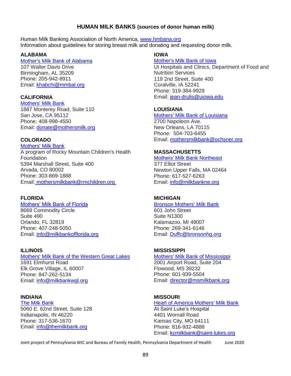# **HUMAN MILK BANKS (sources of donor human milk)**

Human Milk Banking Association of North America, [www.hmbana.org](http://www.hmbana.org/) Information about guidelines for storing breast milk and donating and requesting donor milk.

## **ALABAMA**

Mother's Milk Bank of Alabama 107 Walter Davis Drive Birmingham, AL 35209 Phone: 205-942-8911 Email: [khabchi@mmbal.org](mailto:khabchi@mmbal.org)

## **CALIFORNIA**

Mothers' Milk Bank 1887 Monterey Road, Suite 110 San Jose, CA 95112 Phone: 408-998-4550 Email: [donate@mothersmilk.org](mailto:donate@mothersmilk.org)

## **COLORADO**

Mothers' Milk Bank A program of Rocky Mountain Children's Health Foundation 5394 Marshall Street, Suite 400 Arvada, CO 80002 Phone: 303-869-1888 Email: [mothersmilkbank@rmchildren.org](mailto:mothersmilkbank@rmchildren.org) 

## **FLORIDA**

### Mothers' Milk Bank of Florida

8669 Commodity Circle Suite 490 Orlando, FL 32819 Phone: 407-248-5050 Email: [info@milkbankofflorida.org](mailto:info@milkbankofflorida.org)

## **ILLINOIS**

Mothers' Milk Bank of the Western Great Lakes 1691 Elmhurst Road Elk Grove Village, IL 60007 Phone: 847-262-5134 Email: [info@milkbankwgl.org](mailto:info@milkbankwgl.org)

## **INDIANA**

The Milk Bank 5060 E. 62nd Street, Suite 128 Indianapolis, IN 46220 Phone: 317-536-1670 Email: [info@themilkbank.org](mailto:info@themilkbank.org)

# **IOWA**

Mother's Milk Bank of Iowa

UI Hospitals and Clinics, Department of Food and Nutrition Services 119 2nd Street, Suite 400 Coralville, IA 52241 Phone: 319-384-9929 Email: [jean-drulis@uiowa.edu](mailto:jean-drulis@uiowa.edu)

## **LOUISIANA**

Mothers' Milk Bank of Louisiana 2700 Napoleon Ave. New Orleans, LA 70115 Phone: 504-703-6455 Email: [mothersmilkbank@ochsner.org](mailto:mothersmilkbank@ochsner.org)

## **MASSACHUSETTS**

Mothers' Milk Bank Northeast 377 Elliot Street Newton Upper Falls, MA 02464 Phone: 617-527-6263 Email: [info@milkbankne.org](mailto:info@milkbankne.org)

# **MICHIGAN**

Bronson Mothers' Milk Bank 601 John Street Suite N1300 Kalamazoo, MI 49007 Phone: 269-341-6146 Email: [Duffc@bronsonhg.org](mailto:Duffc@bronsonhg.org)

## **MISSISSIPPI**

Mothers' Milk Bank of Mississippi 2001 Airport Road, Suite 204 Flowood, MS 39232 Phone: 601-939-5504 Email: [director@msmilkbank.org](mailto:director@msmilkbank.org)

# **MISSOURI**

**Heart of America Mothers' Milk Bank** At Saint Luke's Hospital 4401 Wornall Road Kansas City, MO 64111 Phone: 816-932-4888 Email: [kcmilkbank@saint-lukes.org](mailto:kcmilkbank@saint-lukes.org)